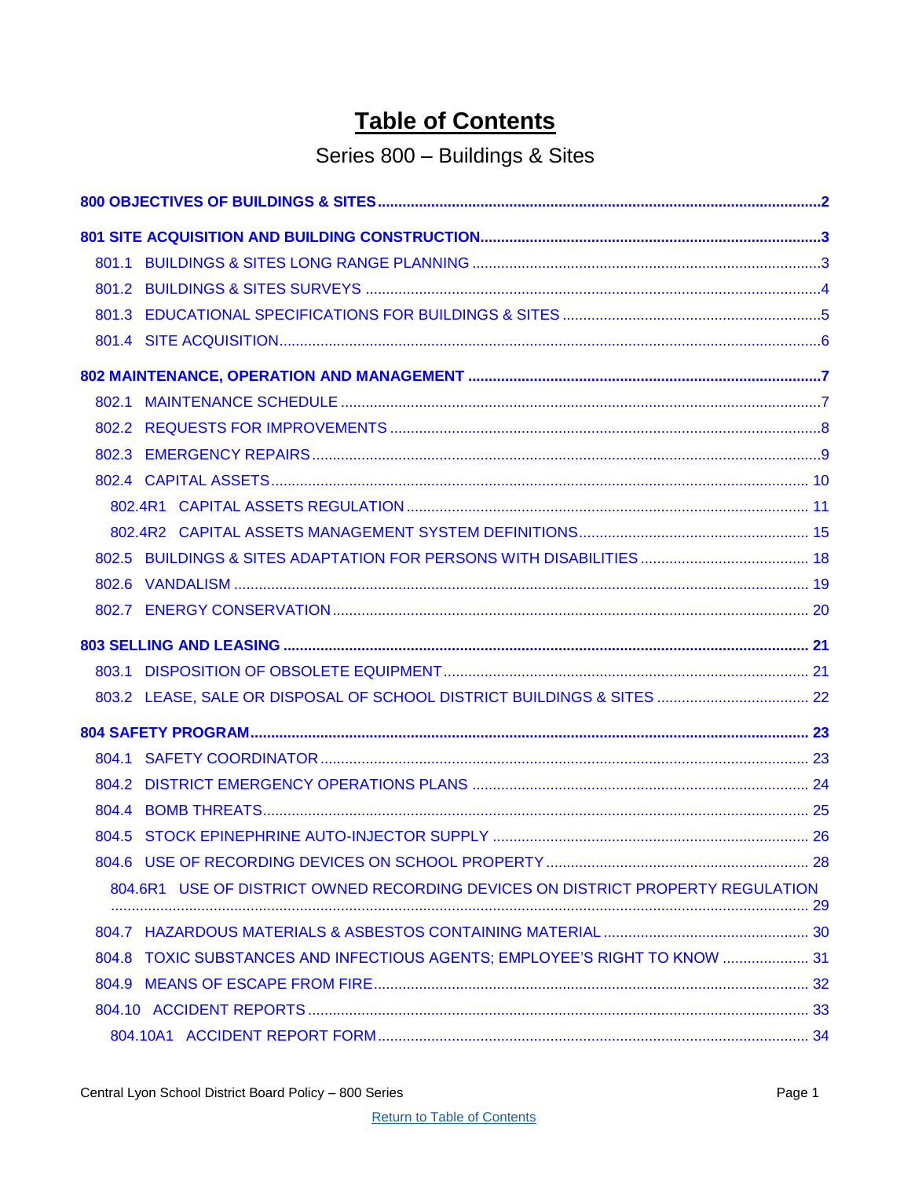# **Table of Contents**

# Series 800 - Buildings & Sites

<span id="page-0-0"></span>

| 804.6R1 USE OF DISTRICT OWNED RECORDING DEVICES ON DISTRICT PROPERTY REGULATION |  |
|---------------------------------------------------------------------------------|--|
|                                                                                 |  |
| 804.8 TOXIC SUBSTANCES AND INFECTIOUS AGENTS; EMPLOYEE'S RIGHT TO KNOW  31      |  |
|                                                                                 |  |
|                                                                                 |  |
|                                                                                 |  |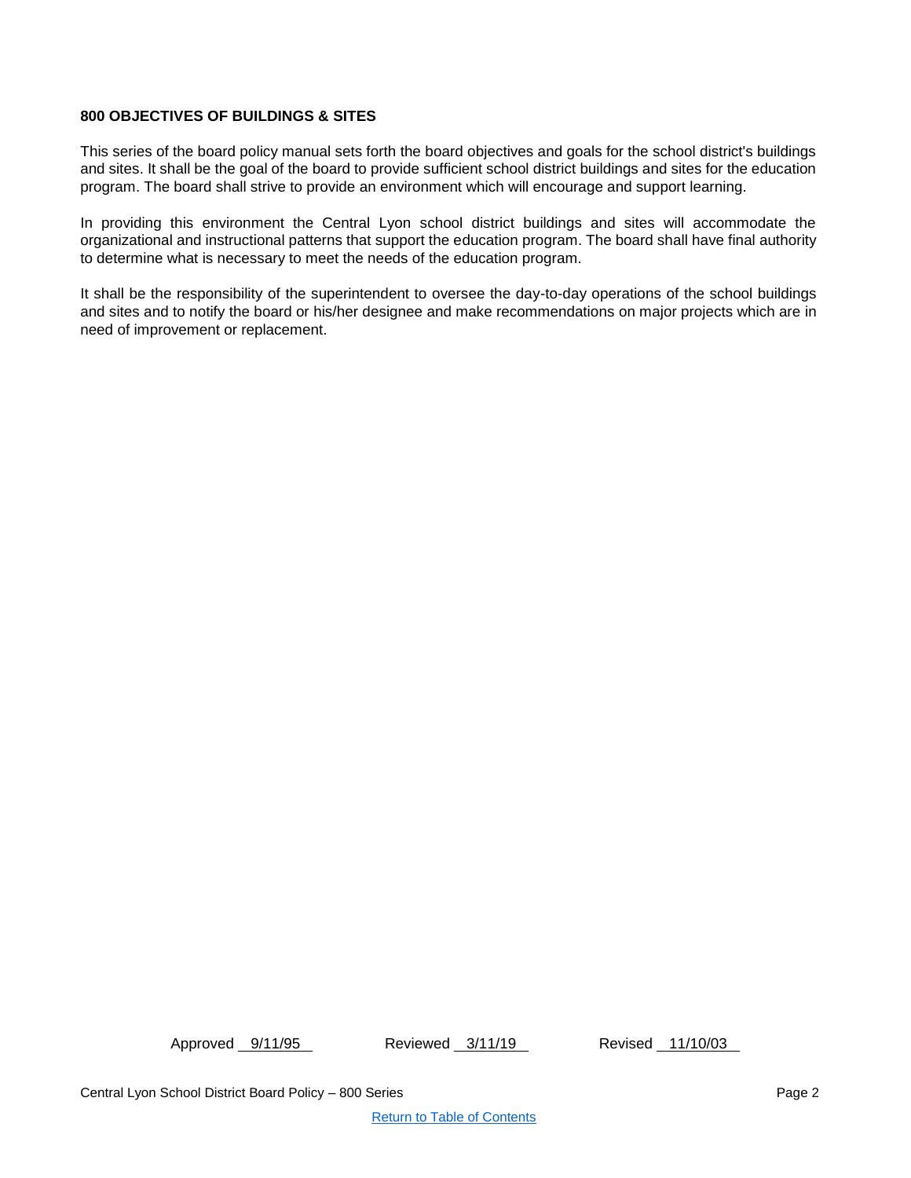# <span id="page-1-0"></span>**800 OBJECTIVES OF BUILDINGS & SITES**

This series of the board policy manual sets forth the board objectives and goals for the school district's buildings and sites. It shall be the goal of the board to provide sufficient school district buildings and sites for the education program. The board shall strive to provide an environment which will encourage and support learning.

In providing this environment the Central Lyon school district buildings and sites will accommodate the organizational and instructional patterns that support the education program. The board shall have final authority to determine what is necessary to meet the needs of the education program.

It shall be the responsibility of the superintendent to oversee the day-to-day operations of the school buildings and sites and to notify the board or his/her designee and make recommendations on major projects which are in need of improvement or replacement.

Approved 9/11/95 Reviewed 3/11/19 Revised 11/10/03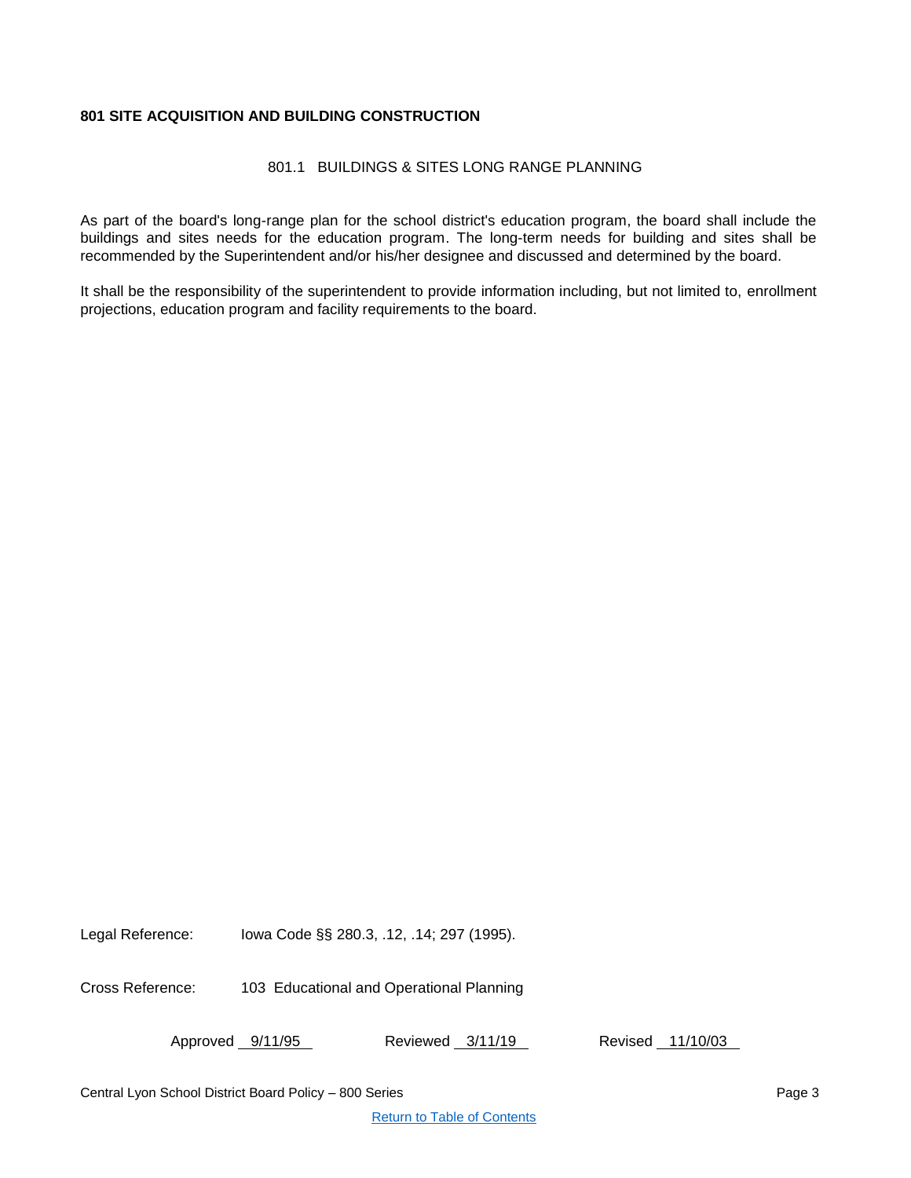# <span id="page-2-1"></span><span id="page-2-0"></span>**801 SITE ACQUISITION AND BUILDING CONSTRUCTION**

# 801.1 BUILDINGS & SITES LONG RANGE PLANNING

As part of the board's long-range plan for the school district's education program, the board shall include the buildings and sites needs for the education program. The long-term needs for building and sites shall be recommended by the Superintendent and/or his/her designee and discussed and determined by the board.

It shall be the responsibility of the superintendent to provide information including, but not limited to, enrollment projections, education program and facility requirements to the board.

Legal Reference: Iowa Code §§ 280.3, .12, .14; 297 (1995).

Cross Reference: 103 Educational and Operational Planning

Approved 9/11/95 Reviewed 3/11/19 Revised 11/10/03

Central Lyon School District Board Policy – 800 Series Page 3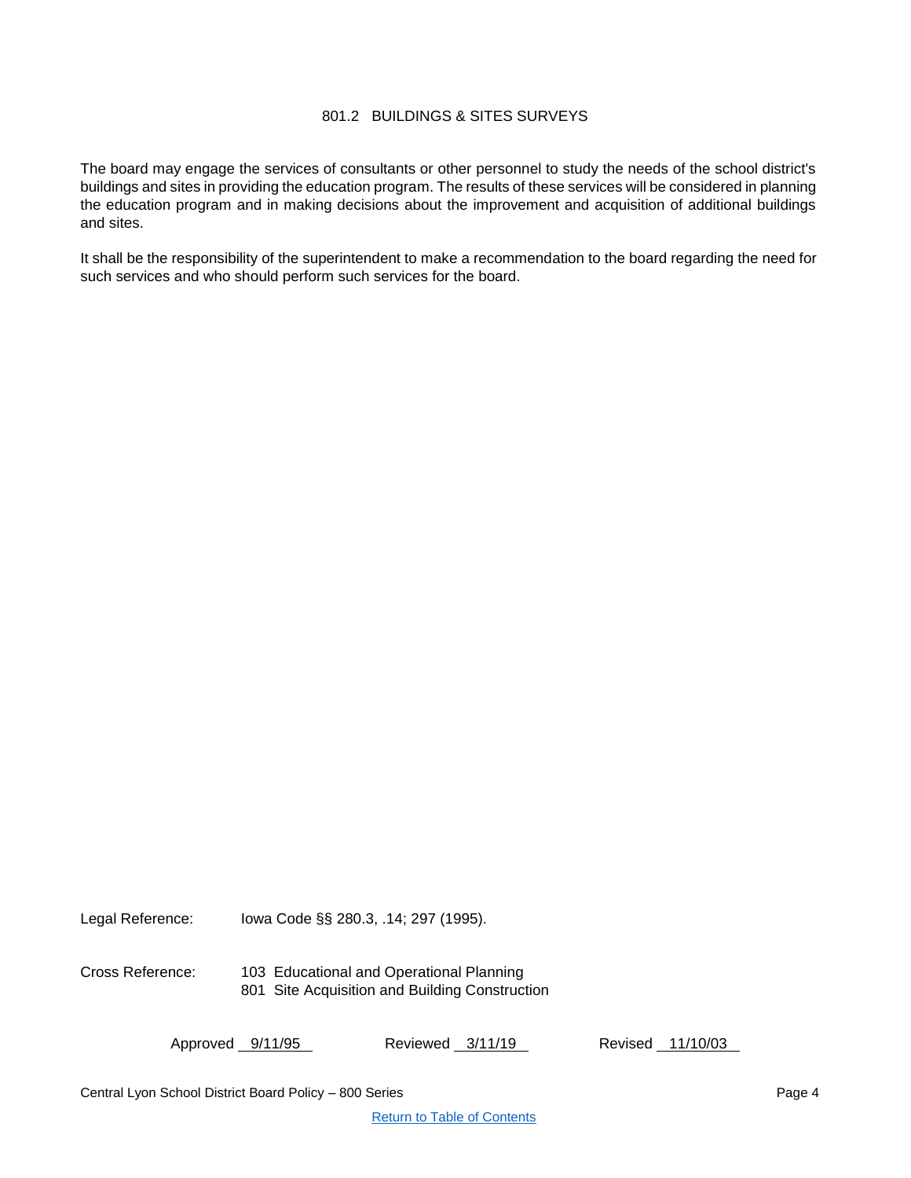# 801.2 BUILDINGS & SITES SURVEYS

<span id="page-3-0"></span>The board may engage the services of consultants or other personnel to study the needs of the school district's buildings and sites in providing the education program. The results of these services will be considered in planning the education program and in making decisions about the improvement and acquisition of additional buildings and sites.

It shall be the responsibility of the superintendent to make a recommendation to the board regarding the need for such services and who should perform such services for the board.

Legal Reference: Iowa Code §§ 280.3, .14; 297 (1995).

Cross Reference: 103 Educational and Operational Planning 801 Site Acquisition and Building Construction

Approved 9/11/95 Reviewed 3/11/19 Revised 11/10/03

Central Lyon School District Board Policy – 800 Series Page 4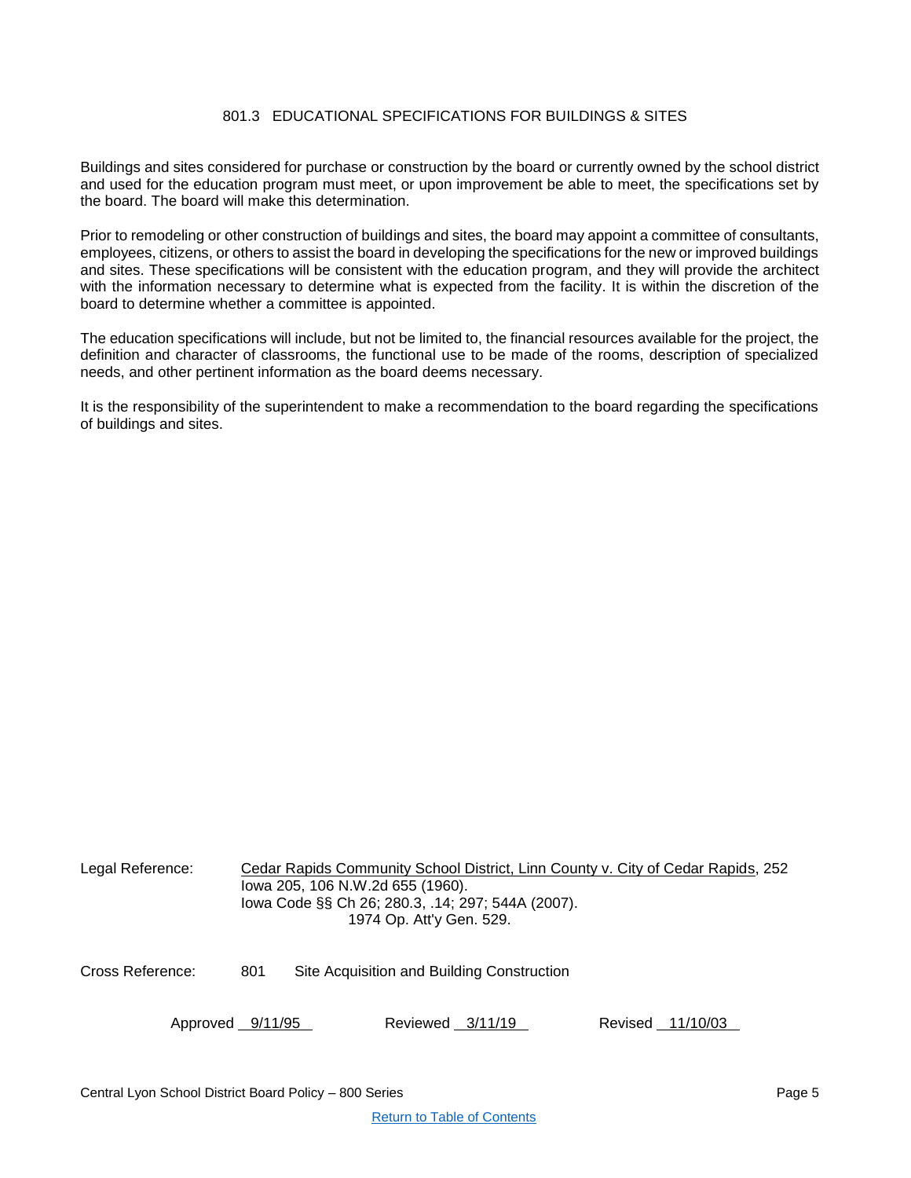# 801.3 EDUCATIONAL SPECIFICATIONS FOR BUILDINGS & SITES

<span id="page-4-0"></span>Buildings and sites considered for purchase or construction by the board or currently owned by the school district and used for the education program must meet, or upon improvement be able to meet, the specifications set by the board. The board will make this determination.

Prior to remodeling or other construction of buildings and sites, the board may appoint a committee of consultants, employees, citizens, or others to assist the board in developing the specifications for the new or improved buildings and sites. These specifications will be consistent with the education program, and they will provide the architect with the information necessary to determine what is expected from the facility. It is within the discretion of the board to determine whether a committee is appointed.

The education specifications will include, but not be limited to, the financial resources available for the project, the definition and character of classrooms, the functional use to be made of the rooms, description of specialized needs, and other pertinent information as the board deems necessary.

It is the responsibility of the superintendent to make a recommendation to the board regarding the specifications of buildings and sites.

| Legal Reference: |     | Cedar Rapids Community School District, Linn County v. City of Cedar Rapids, 252<br>lowa 205, 106 N.W.2d 655 (1960).<br>lowa Code §§ Ch 26; 280.3, .14; 297; 544A (2007).<br>1974 Op. Att'y Gen. 529. |  |  |  |  |
|------------------|-----|-------------------------------------------------------------------------------------------------------------------------------------------------------------------------------------------------------|--|--|--|--|
| Cross Reference: | 801 | Site Acquisition and Building Construction                                                                                                                                                            |  |  |  |  |
| Approved 9/11/95 |     | Reviewed 3/11/19<br>Revised 11/10/03                                                                                                                                                                  |  |  |  |  |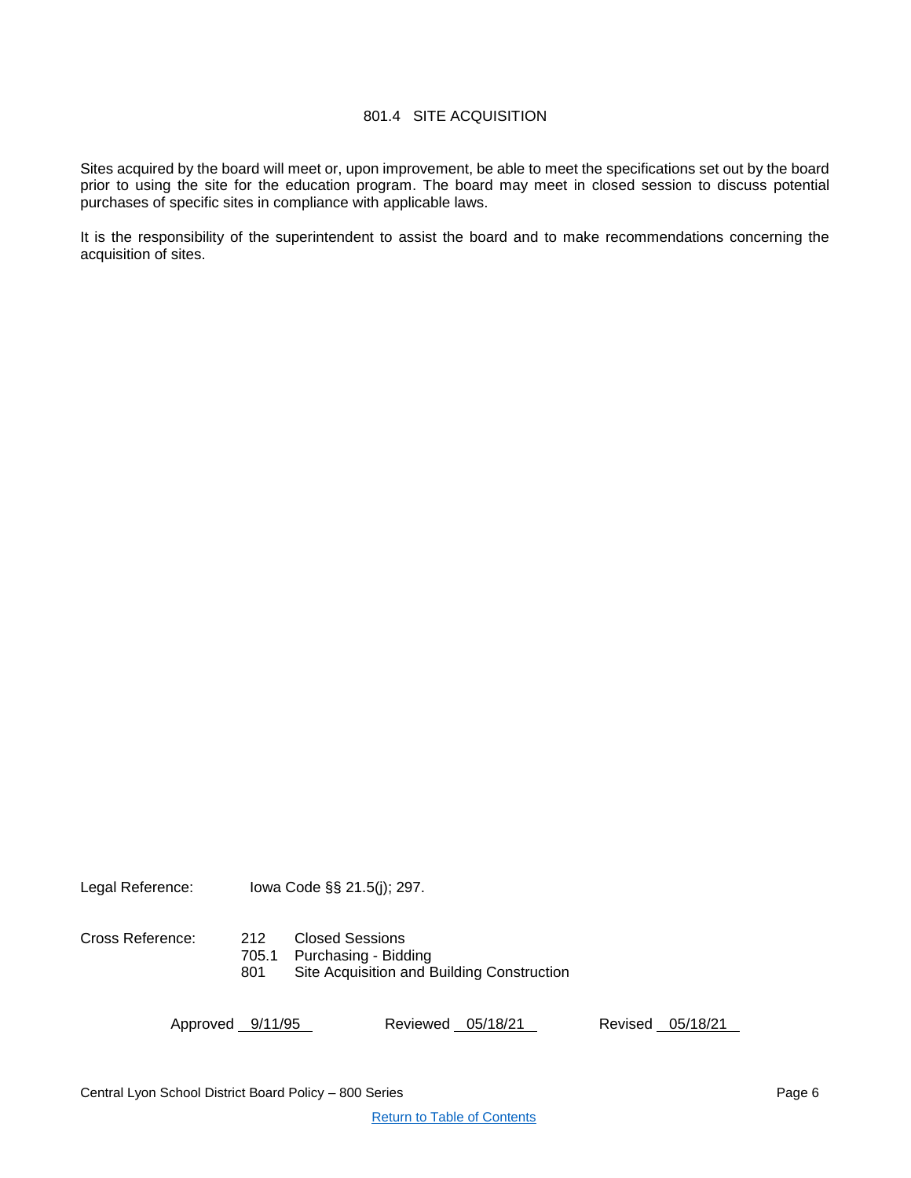# 801.4 SITE ACQUISITION

<span id="page-5-0"></span>Sites acquired by the board will meet or, upon improvement, be able to meet the specifications set out by the board prior to using the site for the education program. The board may meet in closed session to discuss potential purchases of specific sites in compliance with applicable laws.

It is the responsibility of the superintendent to assist the board and to make recommendations concerning the acquisition of sites.

Legal Reference: Iowa Code §§ 21.5(j); 297.

Cross Reference: 212 Closed Sessions

705.1 Purchasing - Bidding

801 Site Acquisition and Building Construction

Approved 9/11/95 Reviewed 05/18/21 Revised 05/18/21

Central Lyon School District Board Policy – 800 Series Page 6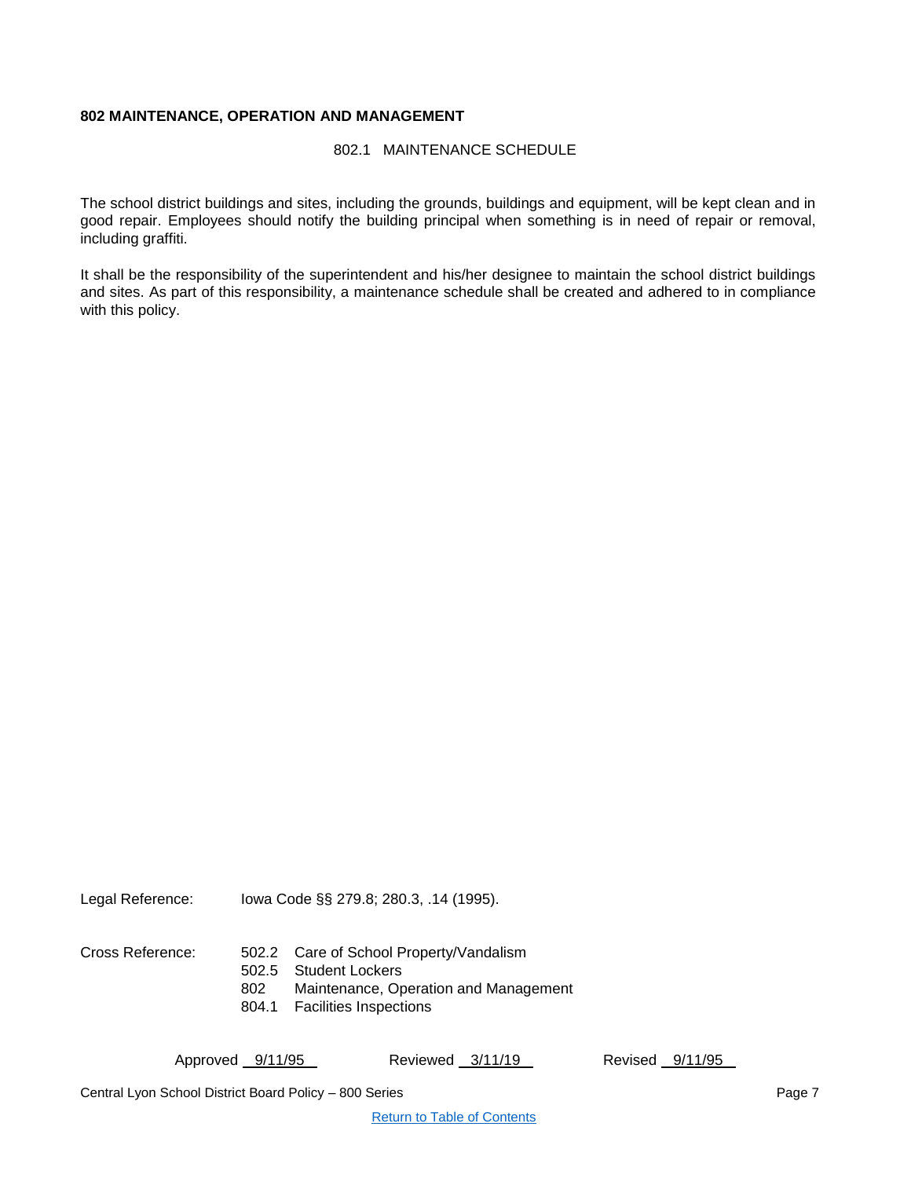# <span id="page-6-1"></span><span id="page-6-0"></span>**802 MAINTENANCE, OPERATION AND MANAGEMENT**

802.1 MAINTENANCE SCHEDULE

The school district buildings and sites, including the grounds, buildings and equipment, will be kept clean and in good repair. Employees should notify the building principal when something is in need of repair or removal, including graffiti.

It shall be the responsibility of the superintendent and his/her designee to maintain the school district buildings and sites. As part of this responsibility, a maintenance schedule shall be created and adhered to in compliance with this policy.

Legal Reference: Iowa Code §§ 279.8; 280.3, .14 (1995).

- Cross Reference: 502.2 Care of School Property/Vandalism
	- 502.5 Student Lockers
	- 802 Maintenance, Operation and Management
	- 804.1 Facilities Inspections

Approved 9/11/95 Reviewed 3/11/19 Revised 9/11/95

Central Lyon School District Board Policy – 800 Series Page 7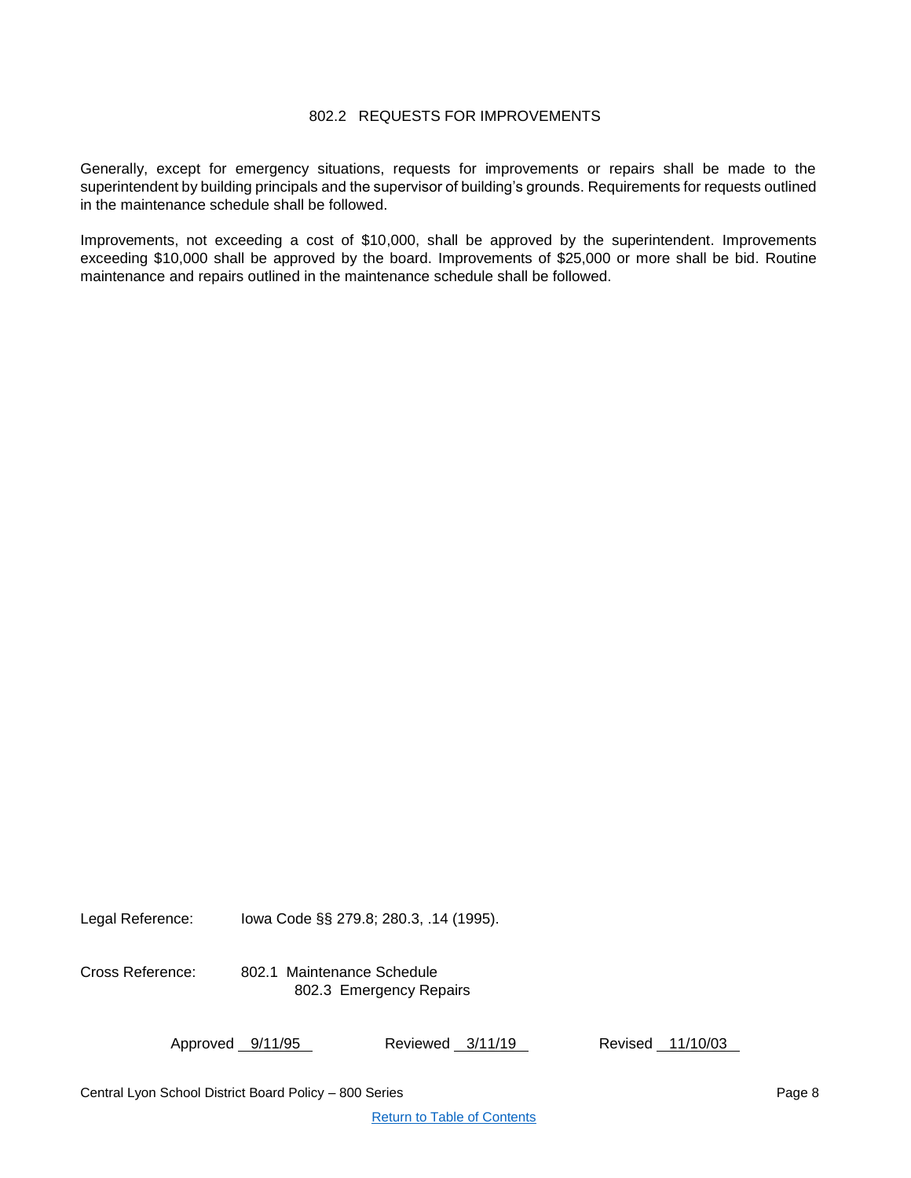# 802.2 REQUESTS FOR IMPROVEMENTS

<span id="page-7-0"></span>Generally, except for emergency situations, requests for improvements or repairs shall be made to the superintendent by building principals and the supervisor of building's grounds. Requirements for requests outlined in the maintenance schedule shall be followed.

Improvements, not exceeding a cost of \$10,000, shall be approved by the superintendent. Improvements exceeding \$10,000 shall be approved by the board. Improvements of \$25,000 or more shall be bid. Routine maintenance and repairs outlined in the maintenance schedule shall be followed.

Legal Reference: Iowa Code §§ 279.8; 280.3, .14 (1995).

Cross Reference: 802.1 Maintenance Schedule 802.3 Emergency Repairs

| Approved 9/11/95 | Reviewed 3/11/19 | Revised 11/10/03 |
|------------------|------------------|------------------|
|------------------|------------------|------------------|

Central Lyon School District Board Policy – 800 Series Page 8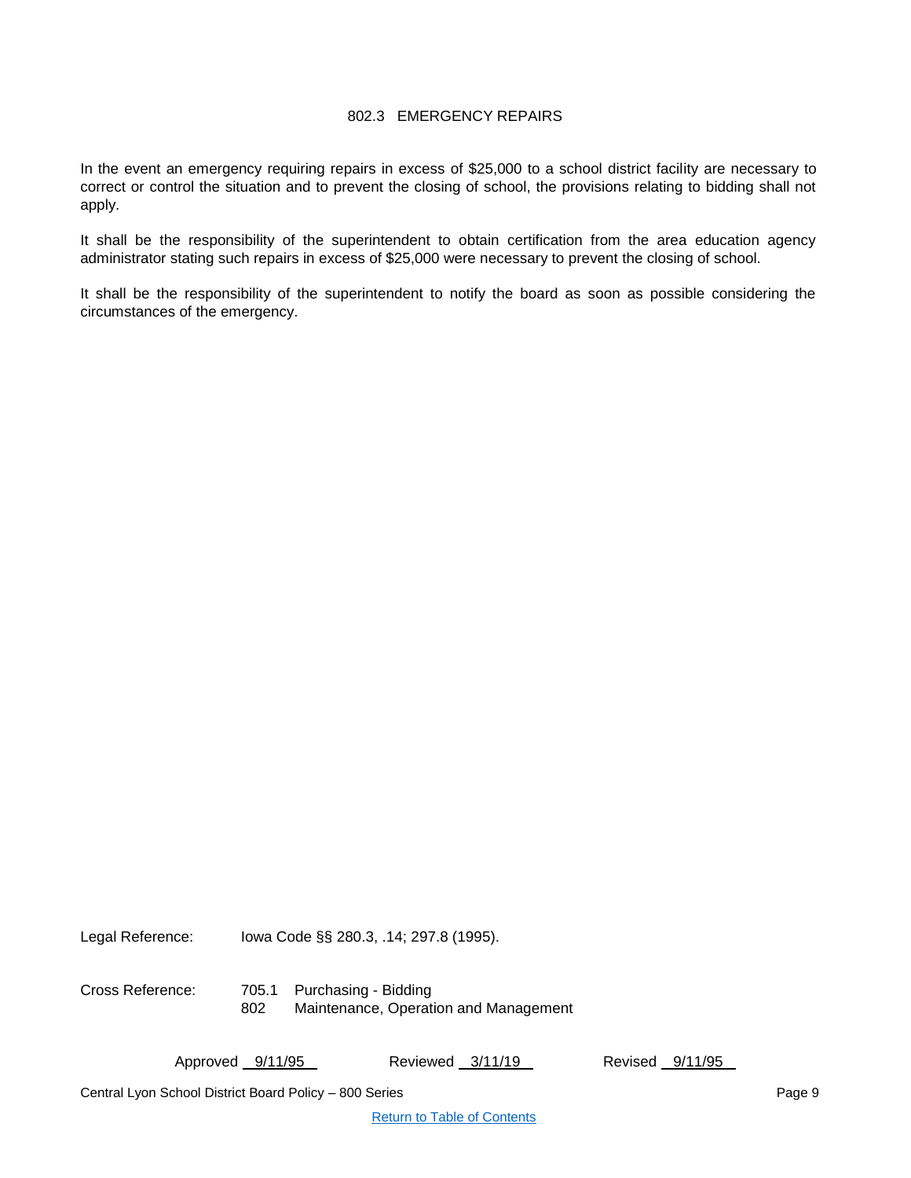# 802.3 EMERGENCY REPAIRS

<span id="page-8-0"></span>In the event an emergency requiring repairs in excess of \$25,000 to a school district facility are necessary to correct or control the situation and to prevent the closing of school, the provisions relating to bidding shall not apply.

It shall be the responsibility of the superintendent to obtain certification from the area education agency administrator stating such repairs in excess of \$25,000 were necessary to prevent the closing of school.

It shall be the responsibility of the superintendent to notify the board as soon as possible considering the circumstances of the emergency.

Legal Reference: Iowa Code §§ 280.3, .14; 297.8 (1995).

Cross Reference: 705.1 Purchasing - Bidding 802 Maintenance, Operation and Management

Approved 9/11/95 Reviewed 3/11/19 Revised 9/11/95

Central Lyon School District Board Policy – 800 Series Page 9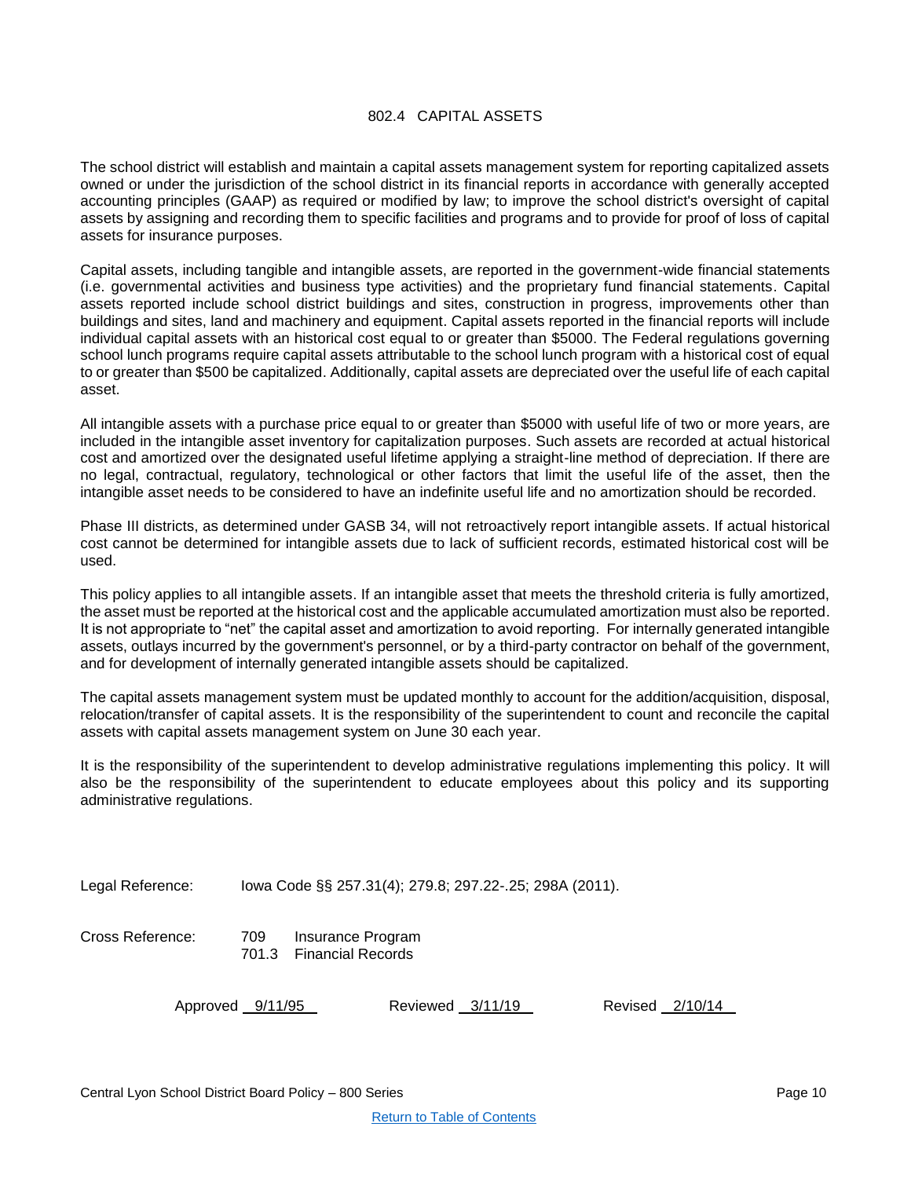# 802.4 CAPITAL ASSETS

<span id="page-9-0"></span>The school district will establish and maintain a capital assets management system for reporting capitalized assets owned or under the jurisdiction of the school district in its financial reports in accordance with generally accepted accounting principles (GAAP) as required or modified by law; to improve the school district's oversight of capital assets by assigning and recording them to specific facilities and programs and to provide for proof of loss of capital assets for insurance purposes.

Capital assets, including tangible and intangible assets, are reported in the government-wide financial statements (i.e. governmental activities and business type activities) and the proprietary fund financial statements. Capital assets reported include school district buildings and sites, construction in progress, improvements other than buildings and sites, land and machinery and equipment. Capital assets reported in the financial reports will include individual capital assets with an historical cost equal to or greater than \$5000. The Federal regulations governing school lunch programs require capital assets attributable to the school lunch program with a historical cost of equal to or greater than \$500 be capitalized. Additionally, capital assets are depreciated over the useful life of each capital asset.

All intangible assets with a purchase price equal to or greater than \$5000 with useful life of two or more years, are included in the intangible asset inventory for capitalization purposes. Such assets are recorded at actual historical cost and amortized over the designated useful lifetime applying a straight-line method of depreciation. If there are no legal, contractual, regulatory, technological or other factors that limit the useful life of the asset, then the intangible asset needs to be considered to have an indefinite useful life and no amortization should be recorded.

Phase III districts, as determined under GASB 34, will not retroactively report intangible assets. If actual historical cost cannot be determined for intangible assets due to lack of sufficient records, estimated historical cost will be used.

This policy applies to all intangible assets. If an intangible asset that meets the threshold criteria is fully amortized, the asset must be reported at the historical cost and the applicable accumulated amortization must also be reported. It is not appropriate to "net" the capital asset and amortization to avoid reporting. For internally generated intangible assets, outlays incurred by the government's personnel, or by a third-party contractor on behalf of the government, and for development of internally generated intangible assets should be capitalized.

The capital assets management system must be updated monthly to account for the addition/acquisition, disposal, relocation/transfer of capital assets. It is the responsibility of the superintendent to count and reconcile the capital assets with capital assets management system on June 30 each year.

It is the responsibility of the superintendent to develop administrative regulations implementing this policy. It will also be the responsibility of the superintendent to educate employees about this policy and its supporting administrative regulations.

Legal Reference: Iowa Code §§ 257.31(4); 279.8; 297.22-.25; 298A (2011).

Cross Reference: 709 Insurance Program 701.3 Financial Records

Approved 9/11/95 Reviewed 3/11/19 Revised 2/10/14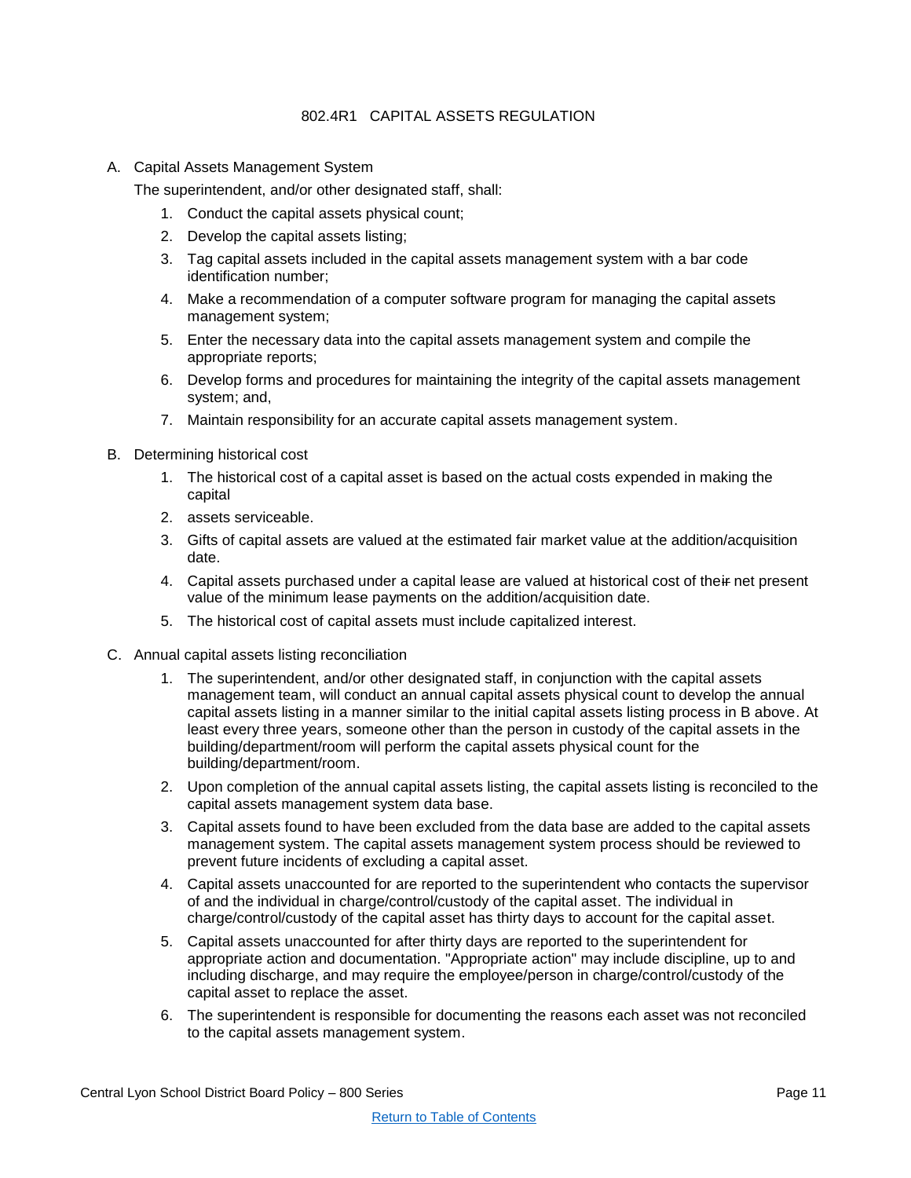# 802.4R1 CAPITAL ASSETS REGULATION

<span id="page-10-0"></span>A. Capital Assets Management System

The superintendent, and/or other designated staff, shall:

- 1. Conduct the capital assets physical count;
- 2. Develop the capital assets listing;
- 3. Tag capital assets included in the capital assets management system with a bar code identification number;
- 4. Make a recommendation of a computer software program for managing the capital assets management system;
- 5. Enter the necessary data into the capital assets management system and compile the appropriate reports;
- 6. Develop forms and procedures for maintaining the integrity of the capital assets management system; and,
- 7. Maintain responsibility for an accurate capital assets management system.
- B. Determining historical cost
	- 1. The historical cost of a capital asset is based on the actual costs expended in making the capital
	- 2. assets serviceable.
	- 3. Gifts of capital assets are valued at the estimated fair market value at the addition/acquisition date.
	- 4. Capital assets purchased under a capital lease are valued at historical cost of their net present value of the minimum lease payments on the addition/acquisition date.
	- 5. The historical cost of capital assets must include capitalized interest.
- C. Annual capital assets listing reconciliation
	- 1. The superintendent, and/or other designated staff, in conjunction with the capital assets management team, will conduct an annual capital assets physical count to develop the annual capital assets listing in a manner similar to the initial capital assets listing process in B above. At least every three years, someone other than the person in custody of the capital assets in the building/department/room will perform the capital assets physical count for the building/department/room.
	- 2. Upon completion of the annual capital assets listing, the capital assets listing is reconciled to the capital assets management system data base.
	- 3. Capital assets found to have been excluded from the data base are added to the capital assets management system. The capital assets management system process should be reviewed to prevent future incidents of excluding a capital asset.
	- 4. Capital assets unaccounted for are reported to the superintendent who contacts the supervisor of and the individual in charge/control/custody of the capital asset. The individual in charge/control/custody of the capital asset has thirty days to account for the capital asset.
	- 5. Capital assets unaccounted for after thirty days are reported to the superintendent for appropriate action and documentation. "Appropriate action" may include discipline, up to and including discharge, and may require the employee/person in charge/control/custody of the capital asset to replace the asset.
	- 6. The superintendent is responsible for documenting the reasons each asset was not reconciled to the capital assets management system.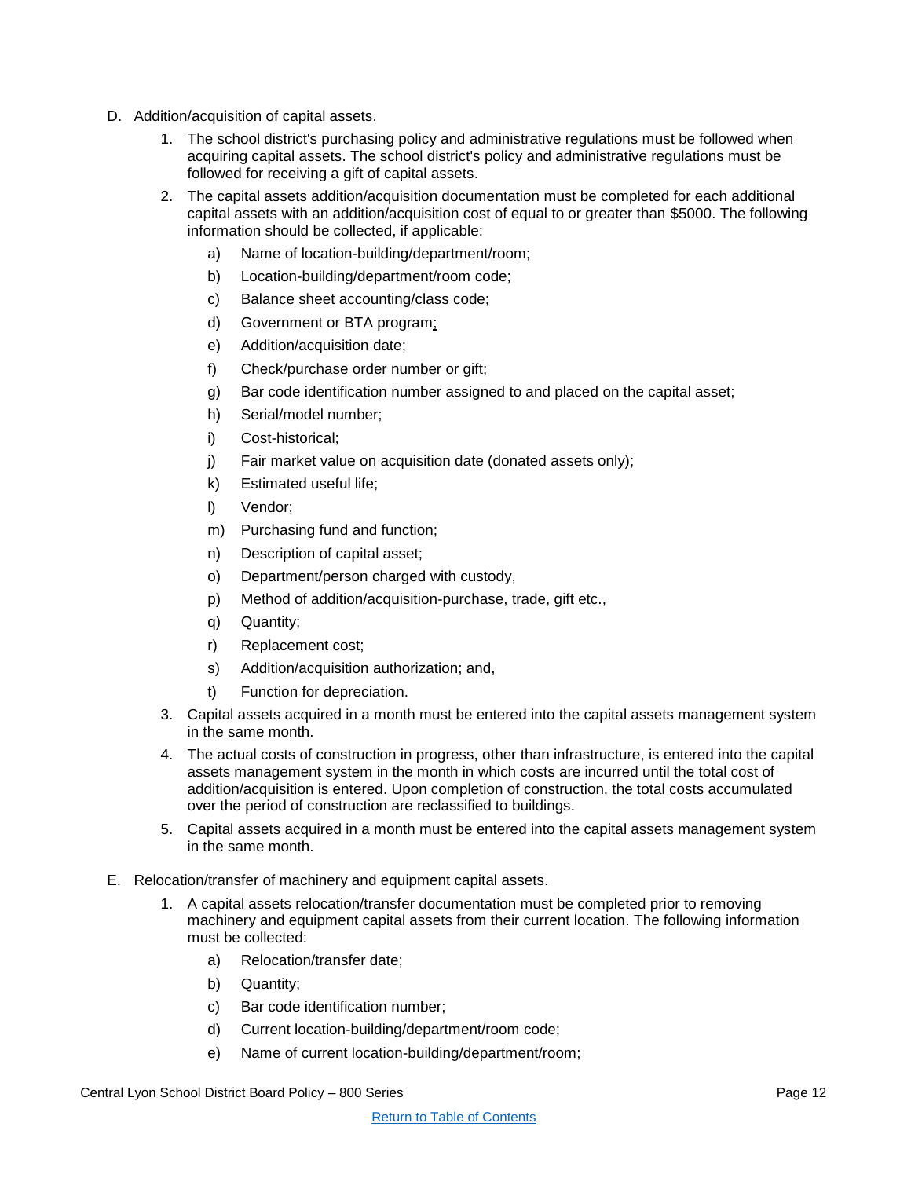- D. Addition/acquisition of capital assets.
	- 1. The school district's purchasing policy and administrative regulations must be followed when acquiring capital assets. The school district's policy and administrative regulations must be followed for receiving a gift of capital assets.
	- 2. The capital assets addition/acquisition documentation must be completed for each additional capital assets with an addition/acquisition cost of equal to or greater than \$5000. The following information should be collected, if applicable:
		- a) Name of location-building/department/room;
		- b) Location-building/department/room code;
		- c) Balance sheet accounting/class code;
		- d) Government or BTA program;
		- e) Addition/acquisition date;
		- f) Check/purchase order number or gift;
		- g) Bar code identification number assigned to and placed on the capital asset;
		- h) Serial/model number;
		- i) Cost-historical;
		- j) Fair market value on acquisition date (donated assets only);
		- k) Estimated useful life;
		- l) Vendor;
		- m) Purchasing fund and function;
		- n) Description of capital asset;
		- o) Department/person charged with custody,
		- p) Method of addition/acquisition-purchase, trade, gift etc.,
		- q) Quantity;
		- r) Replacement cost;
		- s) Addition/acquisition authorization; and,
		- t) Function for depreciation.
	- 3. Capital assets acquired in a month must be entered into the capital assets management system in the same month.
	- 4. The actual costs of construction in progress, other than infrastructure, is entered into the capital assets management system in the month in which costs are incurred until the total cost of addition/acquisition is entered. Upon completion of construction, the total costs accumulated over the period of construction are reclassified to buildings.
	- 5. Capital assets acquired in a month must be entered into the capital assets management system in the same month.
- E. Relocation/transfer of machinery and equipment capital assets.
	- 1. A capital assets relocation/transfer documentation must be completed prior to removing machinery and equipment capital assets from their current location. The following information must be collected:
		- a) Relocation/transfer date;
		- b) Quantity;
		- c) Bar code identification number;
		- d) Current location-building/department/room code;
		- e) Name of current location-building/department/room;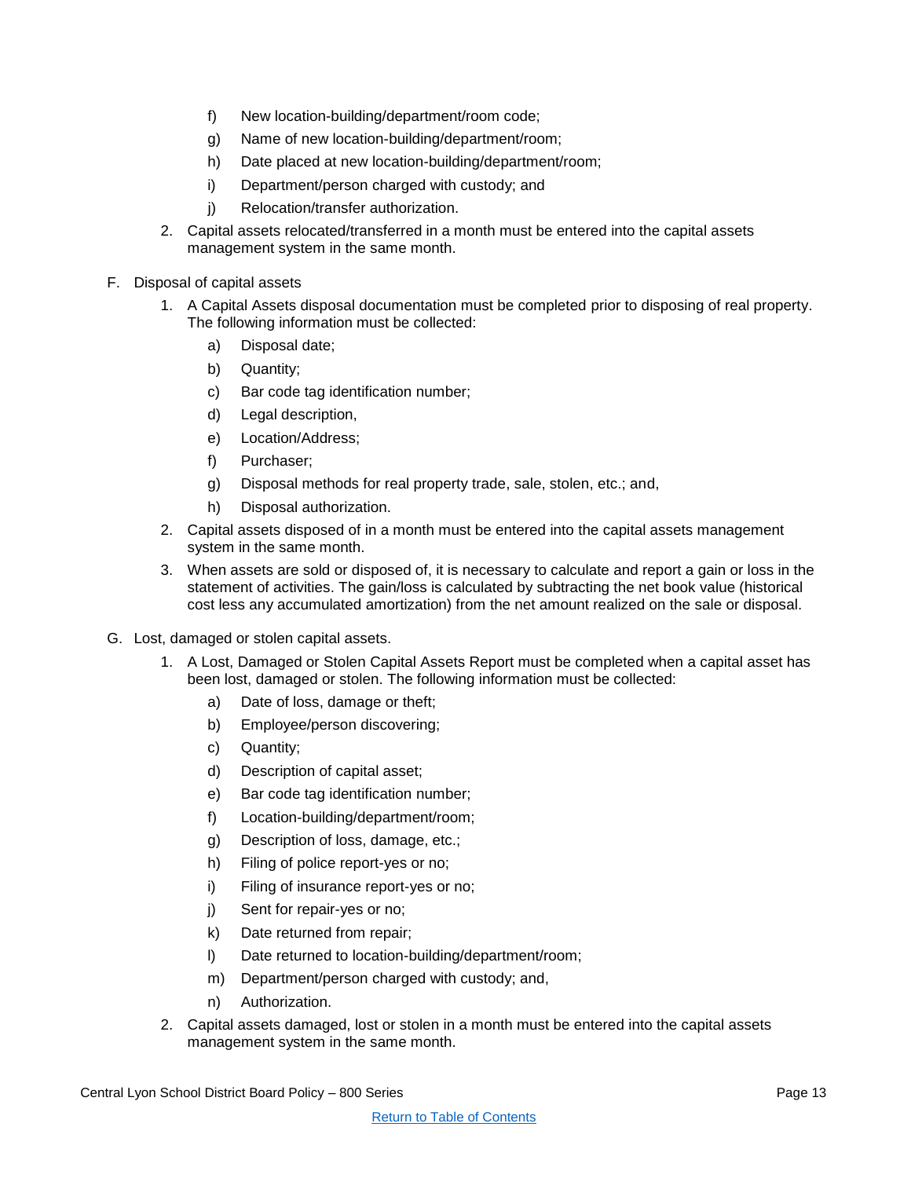- f) New location-building/department/room code;
- g) Name of new location-building/department/room;
- h) Date placed at new location-building/department/room;
- i) Department/person charged with custody; and
- j) Relocation/transfer authorization.
- 2. Capital assets relocated/transferred in a month must be entered into the capital assets management system in the same month.
- F. Disposal of capital assets
	- 1. A Capital Assets disposal documentation must be completed prior to disposing of real property. The following information must be collected:
		- a) Disposal date;
		- b) Quantity;
		- c) Bar code tag identification number;
		- d) Legal description,
		- e) Location/Address;
		- f) Purchaser;
		- g) Disposal methods for real property trade, sale, stolen, etc.; and,
		- h) Disposal authorization.
	- 2. Capital assets disposed of in a month must be entered into the capital assets management system in the same month.
	- 3. When assets are sold or disposed of, it is necessary to calculate and report a gain or loss in the statement of activities. The gain/loss is calculated by subtracting the net book value (historical cost less any accumulated amortization) from the net amount realized on the sale or disposal.
- G. Lost, damaged or stolen capital assets.
	- 1. A Lost, Damaged or Stolen Capital Assets Report must be completed when a capital asset has been lost, damaged or stolen. The following information must be collected:
		- a) Date of loss, damage or theft;
		- b) Employee/person discovering;
		- c) Quantity;
		- d) Description of capital asset;
		- e) Bar code tag identification number;
		- f) Location-building/department/room;
		- g) Description of loss, damage, etc.;
		- h) Filing of police report-yes or no;
		- i) Filing of insurance report-yes or no;
		- j) Sent for repair-yes or no;
		- k) Date returned from repair;
		- l) Date returned to location-building/department/room;
		- m) Department/person charged with custody; and,
		- n) Authorization.
	- 2. Capital assets damaged, lost or stolen in a month must be entered into the capital assets management system in the same month.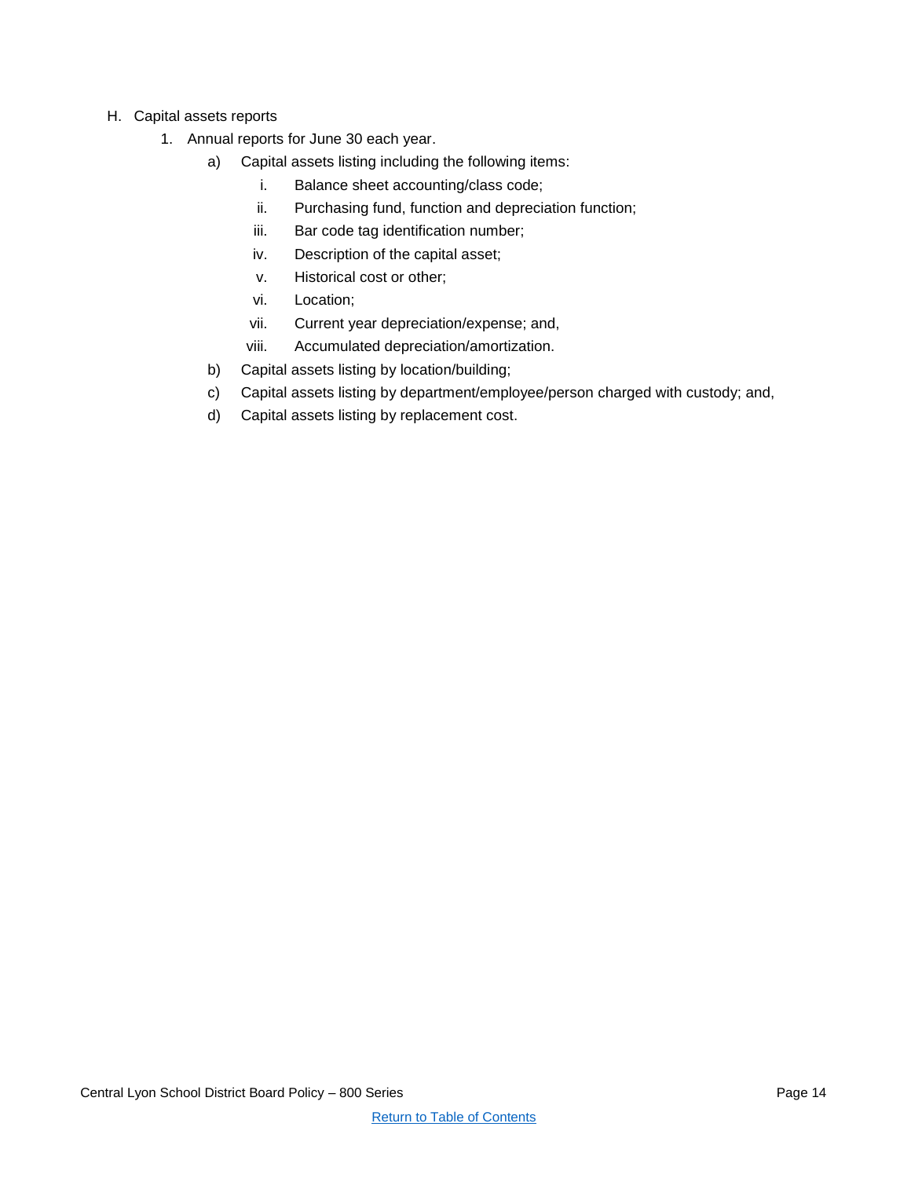- H. Capital assets reports
	- 1. Annual reports for June 30 each year.
		- a) Capital assets listing including the following items:
			- i. Balance sheet accounting/class code;
			- ii. Purchasing fund, function and depreciation function;
			- iii. Bar code tag identification number;
			- iv. Description of the capital asset;
			- v. Historical cost or other;
			- vi. Location;
			- vii. Current year depreciation/expense; and,
			- viii. Accumulated depreciation/amortization.
		- b) Capital assets listing by location/building;
		- c) Capital assets listing by department/employee/person charged with custody; and,
		- d) Capital assets listing by replacement cost.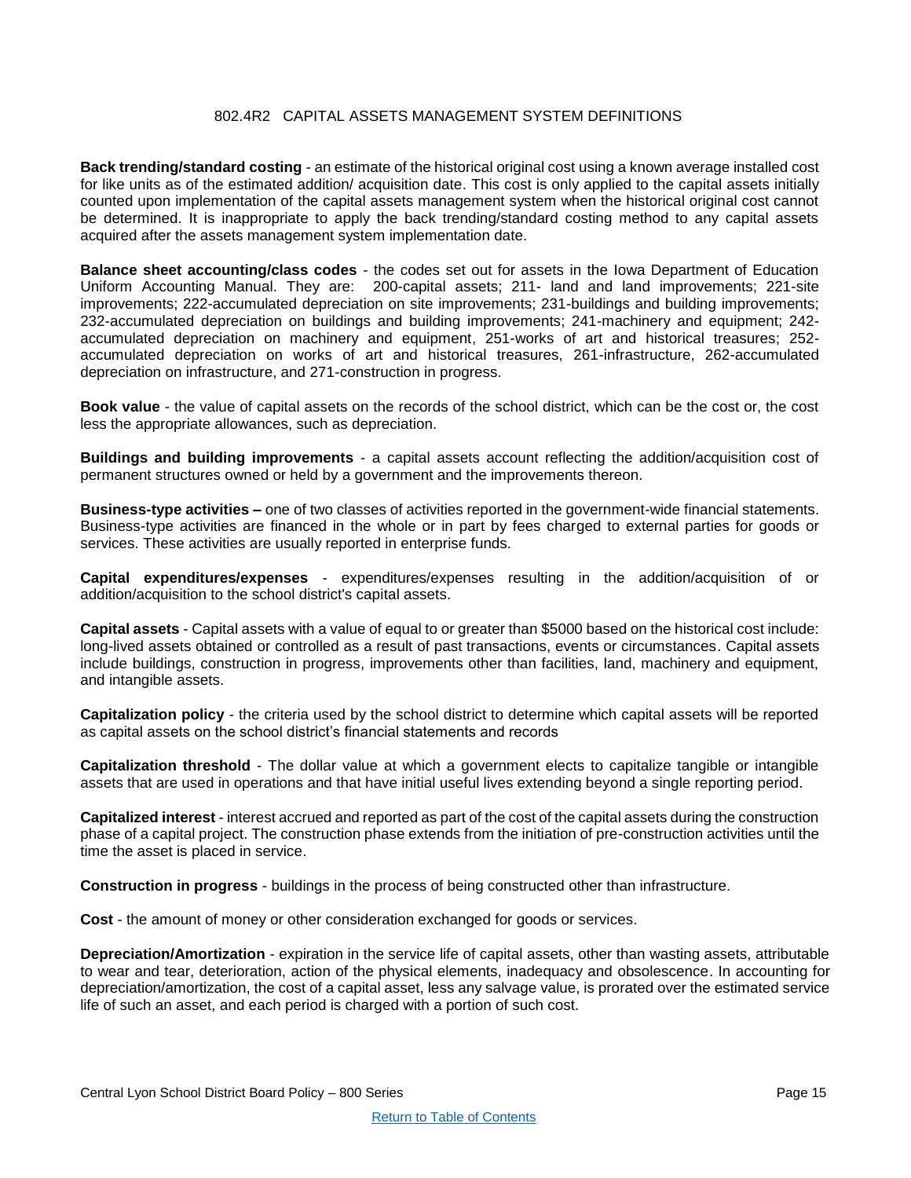# 802.4R2 CAPITAL ASSETS MANAGEMENT SYSTEM DEFINITIONS

<span id="page-14-0"></span>**Back trending/standard costing** - an estimate of the historical original cost using a known average installed cost for like units as of the estimated addition/ acquisition date. This cost is only applied to the capital assets initially counted upon implementation of the capital assets management system when the historical original cost cannot be determined. It is inappropriate to apply the back trending/standard costing method to any capital assets acquired after the assets management system implementation date.

**Balance sheet accounting/class codes** - the codes set out for assets in the Iowa Department of Education Uniform Accounting Manual. They are: 200-capital assets; 211- land and land improvements; 221-site improvements; 222-accumulated depreciation on site improvements; 231-buildings and building improvements; 232-accumulated depreciation on buildings and building improvements; 241-machinery and equipment; 242 accumulated depreciation on machinery and equipment, 251-works of art and historical treasures; 252 accumulated depreciation on works of art and historical treasures, 261-infrastructure, 262-accumulated depreciation on infrastructure, and 271-construction in progress.

**Book value** - the value of capital assets on the records of the school district, which can be the cost or, the cost less the appropriate allowances, such as depreciation.

**Buildings and building improvements** - a capital assets account reflecting the addition/acquisition cost of permanent structures owned or held by a government and the improvements thereon.

**Business-type activities –** one of two classes of activities reported in the government-wide financial statements. Business-type activities are financed in the whole or in part by fees charged to external parties for goods or services. These activities are usually reported in enterprise funds.

**Capital expenditures/expenses** - expenditures/expenses resulting in the addition/acquisition of or addition/acquisition to the school district's capital assets.

**Capital assets** - Capital assets with a value of equal to or greater than \$5000 based on the historical cost include: long-lived assets obtained or controlled as a result of past transactions, events or circumstances. Capital assets include buildings, construction in progress, improvements other than facilities, land, machinery and equipment, and intangible assets.

**Capitalization policy** - the criteria used by the school district to determine which capital assets will be reported as capital assets on the school district's financial statements and records

**Capitalization threshold** - The dollar value at which a government elects to capitalize tangible or intangible assets that are used in operations and that have initial useful lives extending beyond a single reporting period.

**Capitalized interest** - interest accrued and reported as part of the cost of the capital assets during the construction phase of a capital project. The construction phase extends from the initiation of pre-construction activities until the time the asset is placed in service.

**Construction in progress** - buildings in the process of being constructed other than infrastructure.

**Cost** - the amount of money or other consideration exchanged for goods or services.

**Depreciation/Amortization** - expiration in the service life of capital assets, other than wasting assets, attributable to wear and tear, deterioration, action of the physical elements, inadequacy and obsolescence. In accounting for depreciation/amortization, the cost of a capital asset, less any salvage value, is prorated over the estimated service life of such an asset, and each period is charged with a portion of such cost.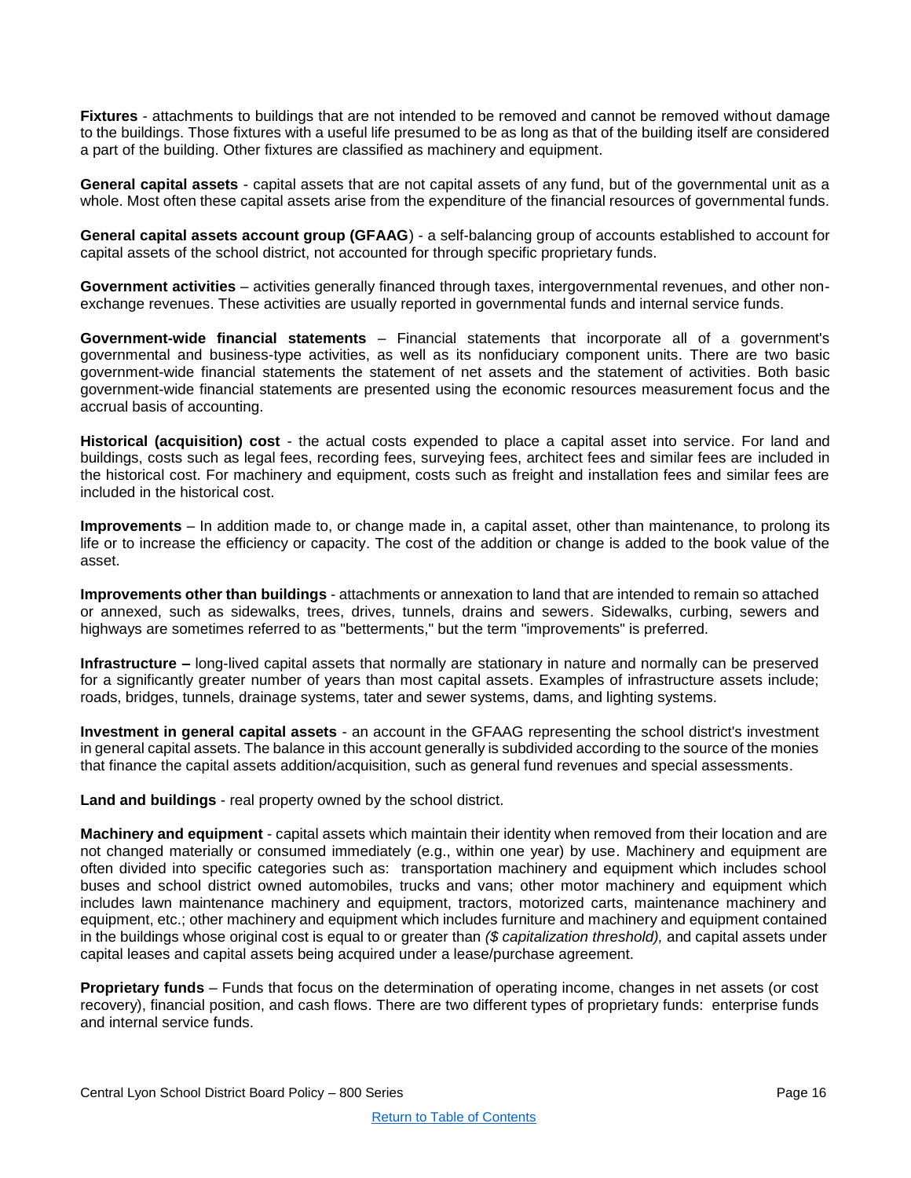**Fixtures** - attachments to buildings that are not intended to be removed and cannot be removed without damage to the buildings. Those fixtures with a useful life presumed to be as long as that of the building itself are considered a part of the building. Other fixtures are classified as machinery and equipment.

**General capital assets** - capital assets that are not capital assets of any fund, but of the governmental unit as a whole. Most often these capital assets arise from the expenditure of the financial resources of governmental funds.

**General capital assets account group (GFAAG**) - a self-balancing group of accounts established to account for capital assets of the school district, not accounted for through specific proprietary funds.

**Government activities** – activities generally financed through taxes, intergovernmental revenues, and other nonexchange revenues. These activities are usually reported in governmental funds and internal service funds.

**Government-wide financial statements** – Financial statements that incorporate all of a government's governmental and business-type activities, as well as its nonfiduciary component units. There are two basic government-wide financial statements the statement of net assets and the statement of activities. Both basic government-wide financial statements are presented using the economic resources measurement focus and the accrual basis of accounting.

**Historical (acquisition) cost** - the actual costs expended to place a capital asset into service. For land and buildings, costs such as legal fees, recording fees, surveying fees, architect fees and similar fees are included in the historical cost. For machinery and equipment, costs such as freight and installation fees and similar fees are included in the historical cost.

**Improvements** – In addition made to, or change made in, a capital asset, other than maintenance, to prolong its life or to increase the efficiency or capacity. The cost of the addition or change is added to the book value of the asset.

**Improvements other than buildings** - attachments or annexation to land that are intended to remain so attached or annexed, such as sidewalks, trees, drives, tunnels, drains and sewers. Sidewalks, curbing, sewers and highways are sometimes referred to as "betterments," but the term "improvements" is preferred.

**Infrastructure –** long-lived capital assets that normally are stationary in nature and normally can be preserved for a significantly greater number of years than most capital assets. Examples of infrastructure assets include; roads, bridges, tunnels, drainage systems, tater and sewer systems, dams, and lighting systems.

**Investment in general capital assets** - an account in the GFAAG representing the school district's investment in general capital assets. The balance in this account generally is subdivided according to the source of the monies that finance the capital assets addition/acquisition, such as general fund revenues and special assessments.

**Land and buildings** - real property owned by the school district.

**Machinery and equipment** - capital assets which maintain their identity when removed from their location and are not changed materially or consumed immediately (e.g., within one year) by use. Machinery and equipment are often divided into specific categories such as: transportation machinery and equipment which includes school buses and school district owned automobiles, trucks and vans; other motor machinery and equipment which includes lawn maintenance machinery and equipment, tractors, motorized carts, maintenance machinery and equipment, etc.; other machinery and equipment which includes furniture and machinery and equipment contained in the buildings whose original cost is equal to or greater than *(\$ capitalization threshold),* and capital assets under capital leases and capital assets being acquired under a lease/purchase agreement.

**Proprietary funds** – Funds that focus on the determination of operating income, changes in net assets (or cost recovery), financial position, and cash flows. There are two different types of proprietary funds: enterprise funds and internal service funds.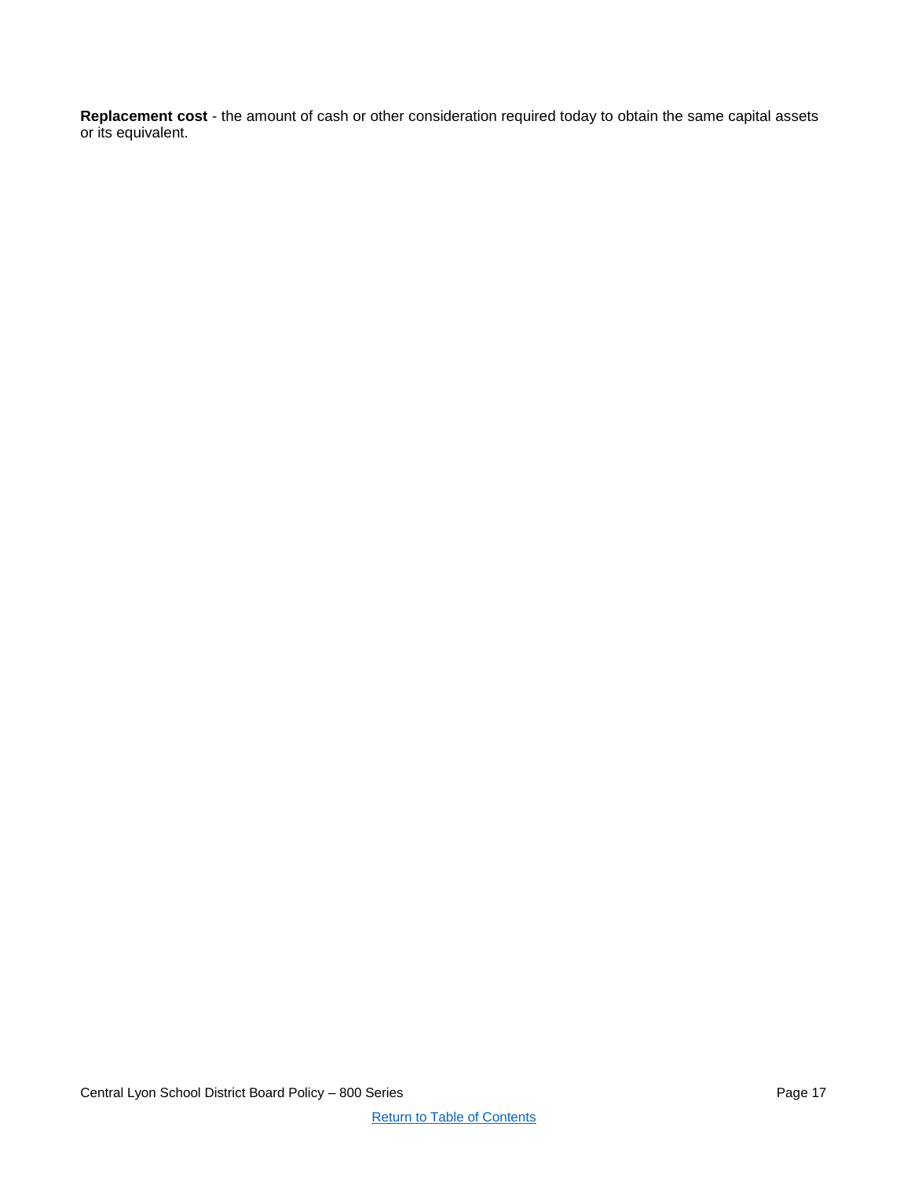**Replacement cost** - the amount of cash or other consideration required today to obtain the same capital assets or its equivalent.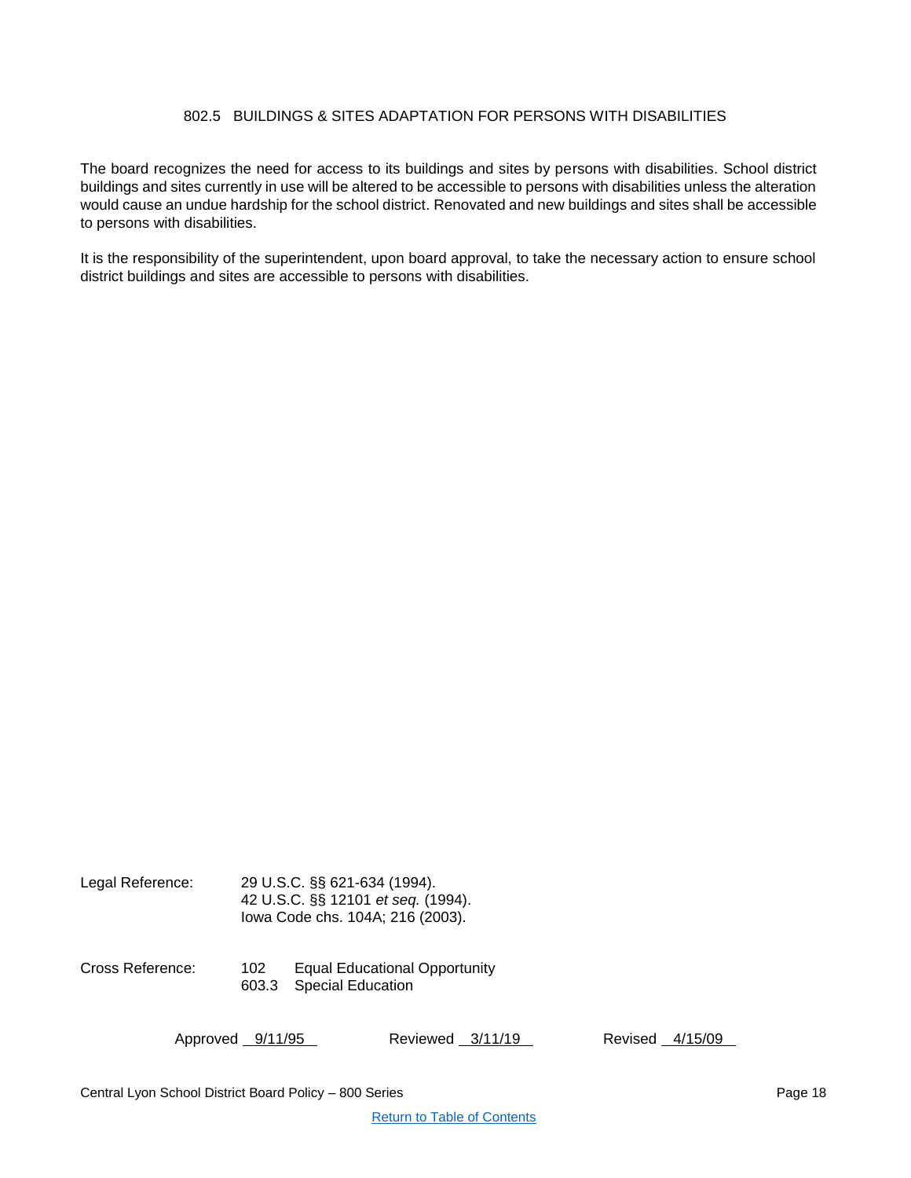# 802.5 BUILDINGS & SITES ADAPTATION FOR PERSONS WITH DISABILITIES

<span id="page-17-0"></span>The board recognizes the need for access to its buildings and sites by persons with disabilities. School district buildings and sites currently in use will be altered to be accessible to persons with disabilities unless the alteration would cause an undue hardship for the school district. Renovated and new buildings and sites shall be accessible to persons with disabilities.

It is the responsibility of the superintendent, upon board approval, to take the necessary action to ensure school district buildings and sites are accessible to persons with disabilities.

| Legal Reference: |              | 29 U.S.C. SS 621-634 (1994).<br>42 U.S.C. §§ 12101 et seq. (1994).<br>lowa Code chs. 104A; 216 (2003). |
|------------------|--------------|--------------------------------------------------------------------------------------------------------|
| Cross Reference: | 102<br>603.3 | Equal Educational Opportunity<br><b>Special Education</b>                                              |
|                  |              |                                                                                                        |

Approved 9/11/95 Reviewed 3/11/19 Revised 4/15/09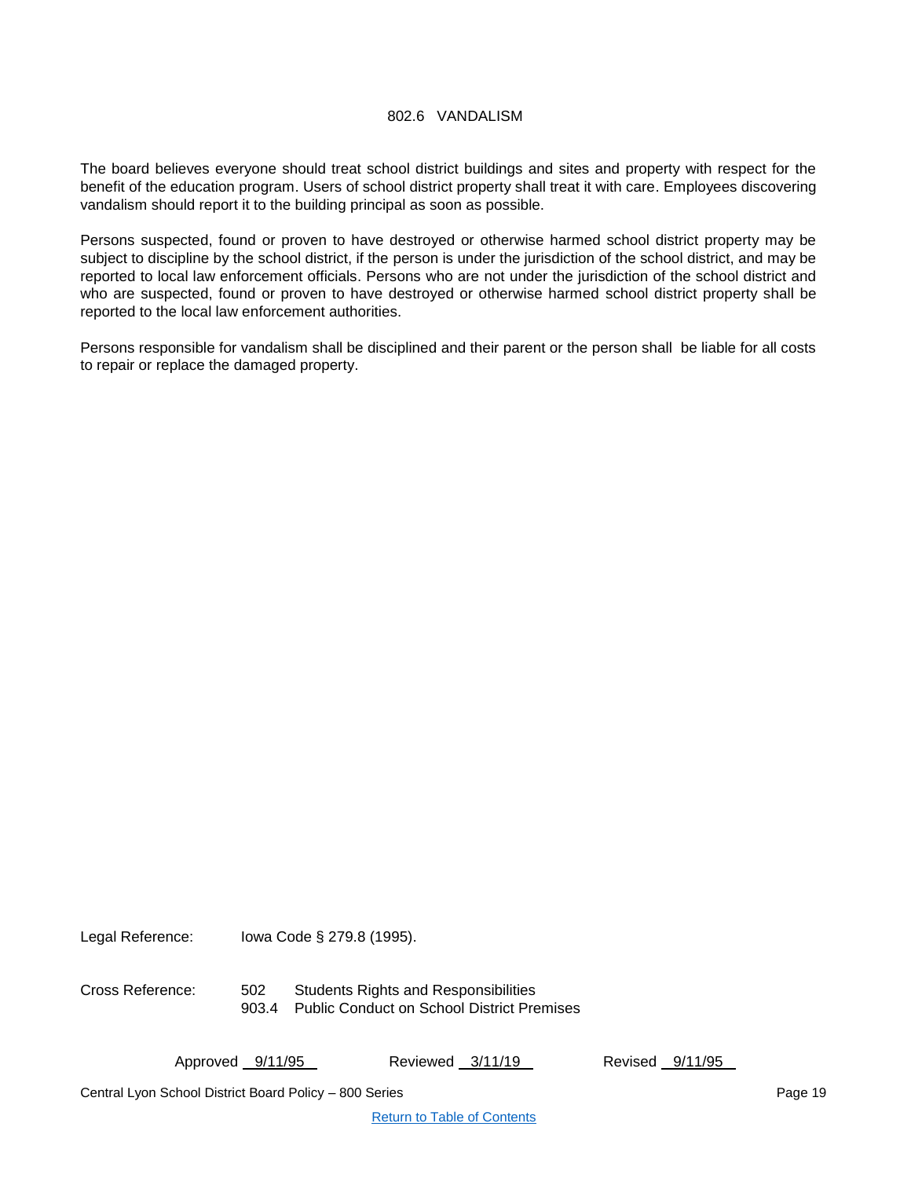# 802.6 VANDALISM

<span id="page-18-0"></span>The board believes everyone should treat school district buildings and sites and property with respect for the benefit of the education program. Users of school district property shall treat it with care. Employees discovering vandalism should report it to the building principal as soon as possible.

Persons suspected, found or proven to have destroyed or otherwise harmed school district property may be subject to discipline by the school district, if the person is under the jurisdiction of the school district, and may be reported to local law enforcement officials. Persons who are not under the jurisdiction of the school district and who are suspected, found or proven to have destroyed or otherwise harmed school district property shall be reported to the local law enforcement authorities.

Persons responsible for vandalism shall be disciplined and their parent or the person shall be liable for all costs to repair or replace the damaged property.

Legal Reference: Iowa Code § 279.8 (1995).

Cross Reference: 502 Students Rights and Responsibilities 903.4 Public Conduct on School District Premises

Approved 9/11/95 Reviewed 3/11/19 Revised 9/11/95

Central Lyon School District Board Policy – 800 Series Page 19 November 2008 19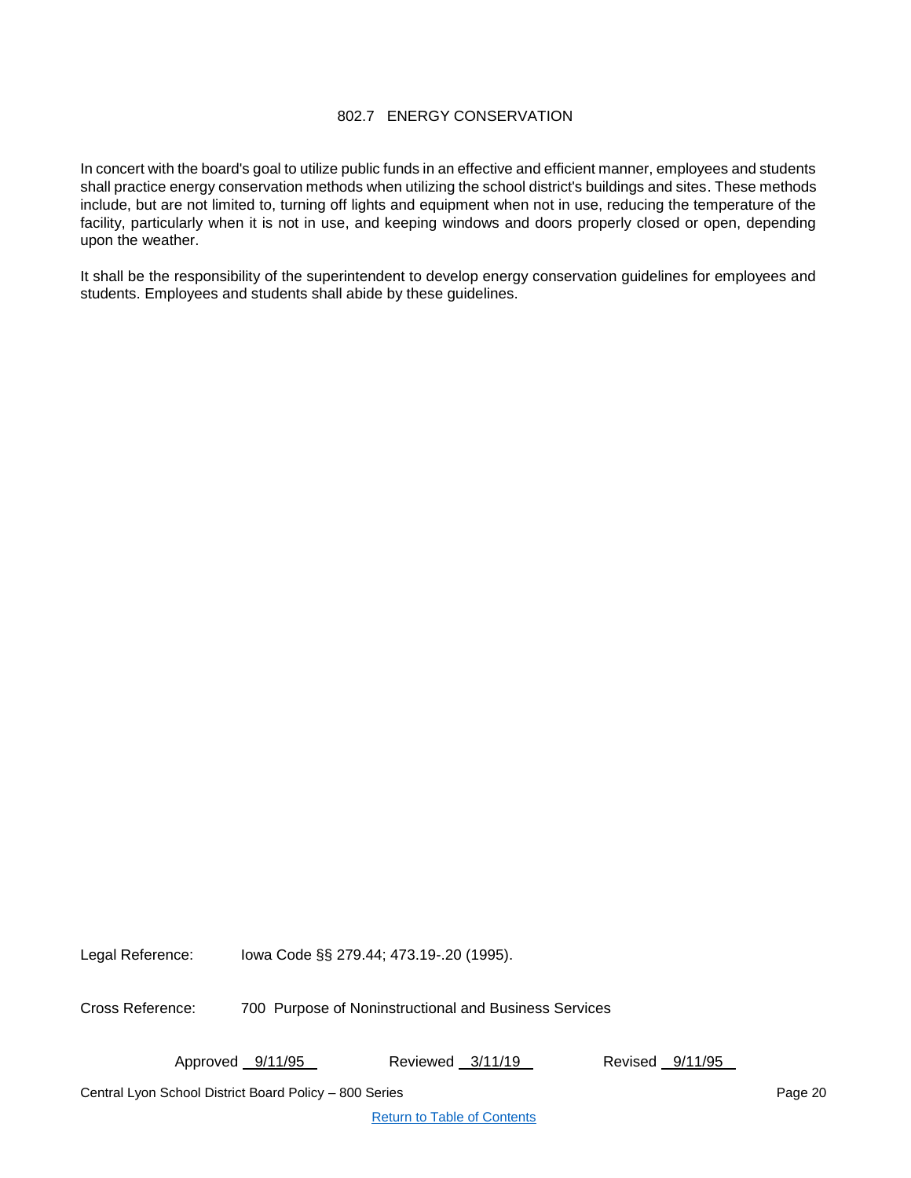# 802.7 ENERGY CONSERVATION

<span id="page-19-0"></span>In concert with the board's goal to utilize public funds in an effective and efficient manner, employees and students shall practice energy conservation methods when utilizing the school district's buildings and sites. These methods include, but are not limited to, turning off lights and equipment when not in use, reducing the temperature of the facility, particularly when it is not in use, and keeping windows and doors properly closed or open, depending upon the weather.

It shall be the responsibility of the superintendent to develop energy conservation guidelines for employees and students. Employees and students shall abide by these guidelines.

Legal Reference: Iowa Code §§ 279.44; 473.19-.20 (1995).

Cross Reference: 700 Purpose of Noninstructional and Business Services

Approved 9/11/95 Reviewed 3/11/19 Revised 9/11/95

Central Lyon School District Board Policy – 800 Series Page 20 November 2012 12:38 Page 20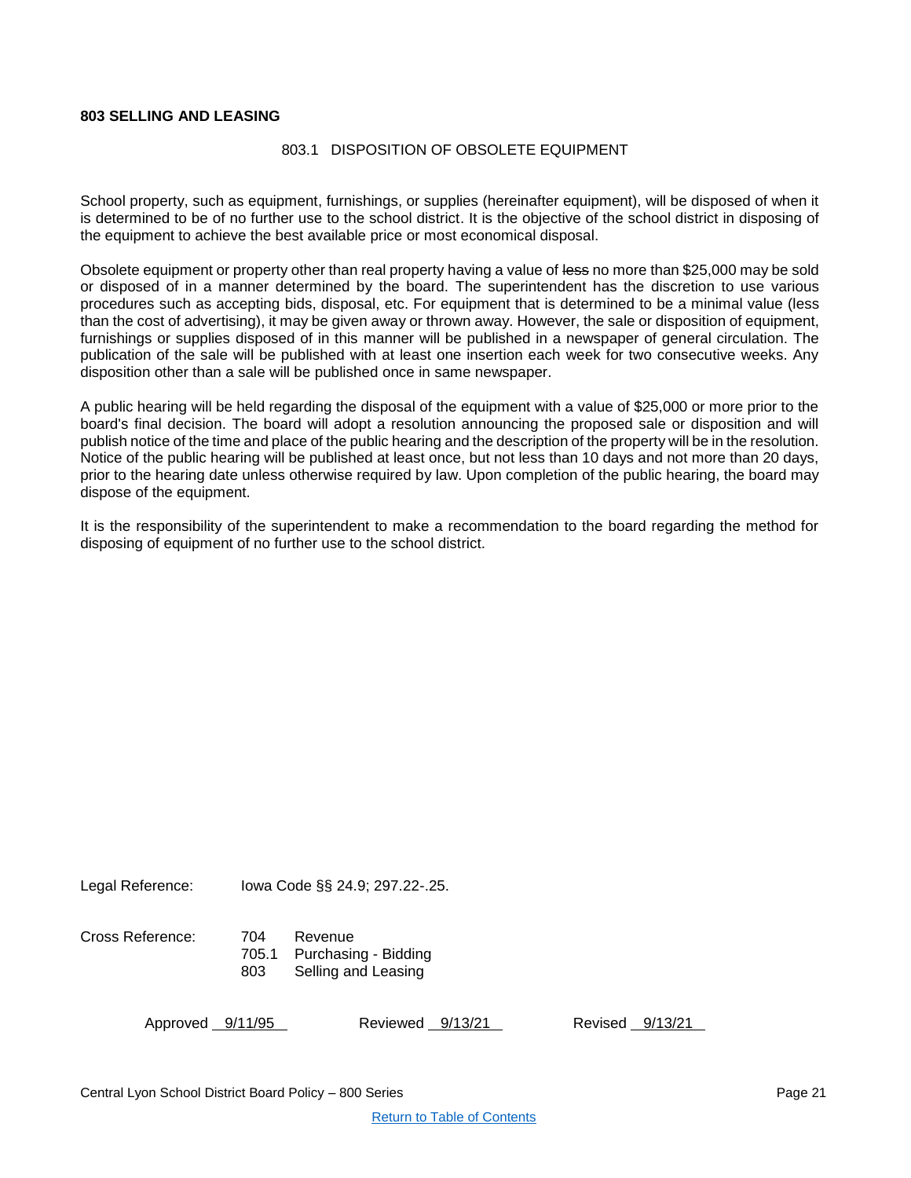# <span id="page-20-1"></span><span id="page-20-0"></span>**803 SELLING AND LEASING**

#### 803.1 DISPOSITION OF OBSOLETE EQUIPMENT

School property, such as equipment, furnishings, or supplies (hereinafter equipment), will be disposed of when it is determined to be of no further use to the school district. It is the objective of the school district in disposing of the equipment to achieve the best available price or most economical disposal.

Obsolete equipment or property other than real property having a value of less no more than \$25,000 may be sold or disposed of in a manner determined by the board. The superintendent has the discretion to use various procedures such as accepting bids, disposal, etc. For equipment that is determined to be a minimal value (less than the cost of advertising), it may be given away or thrown away. However, the sale or disposition of equipment, furnishings or supplies disposed of in this manner will be published in a newspaper of general circulation. The publication of the sale will be published with at least one insertion each week for two consecutive weeks. Any disposition other than a sale will be published once in same newspaper.

A public hearing will be held regarding the disposal of the equipment with a value of \$25,000 or more prior to the board's final decision. The board will adopt a resolution announcing the proposed sale or disposition and will publish notice of the time and place of the public hearing and the description of the property will be in the resolution. Notice of the public hearing will be published at least once, but not less than 10 days and not more than 20 days, prior to the hearing date unless otherwise required by law. Upon completion of the public hearing, the board may dispose of the equipment.

It is the responsibility of the superintendent to make a recommendation to the board regarding the method for disposing of equipment of no further use to the school district.

Legal Reference: Iowa Code §§ 24.9; 297.22-.25.

Cross Reference: 704 Revenue

705.1 Purchasing - Bidding 803 Selling and Leasing

Approved 9/11/95 Reviewed 9/13/21 Revised 9/13/21

Central Lyon School District Board Policy – 800 Series Page 21 November 2008 21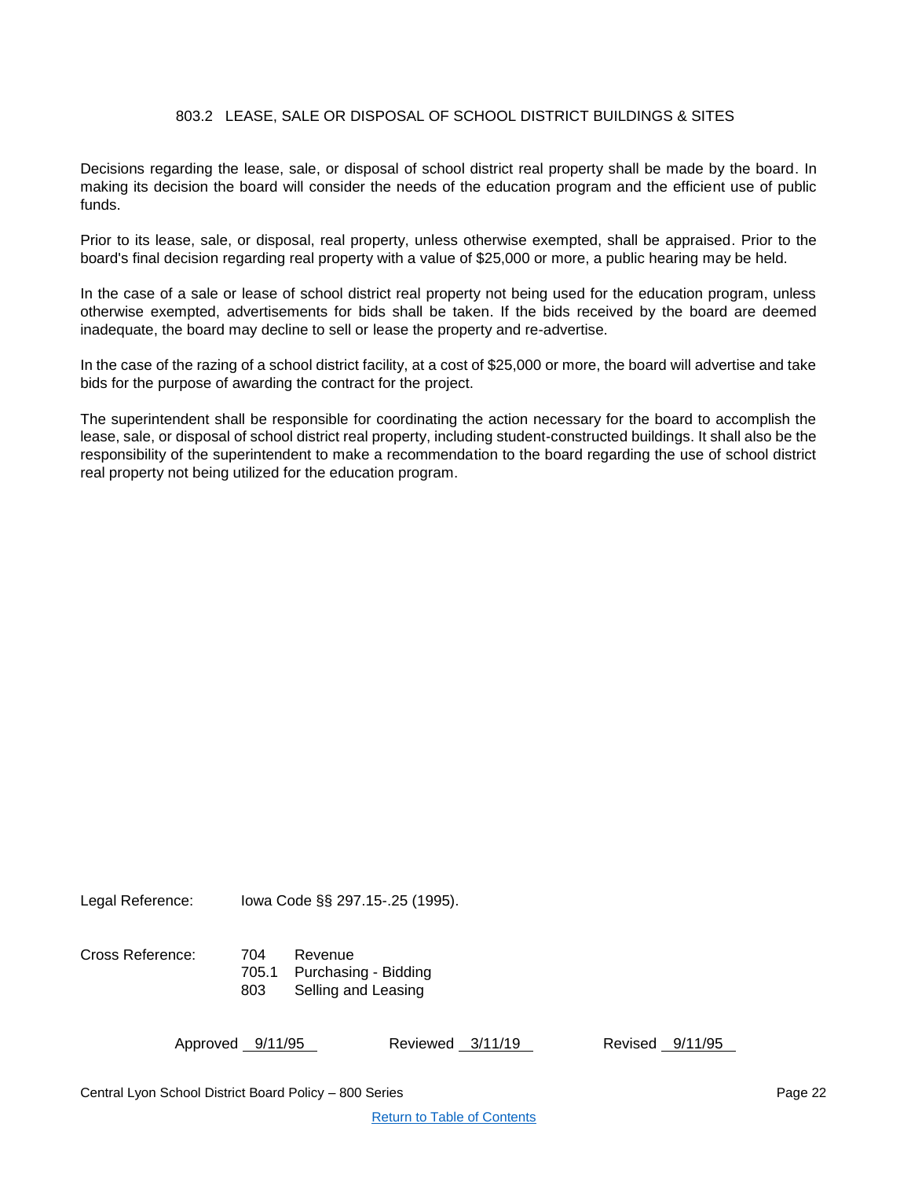# 803.2 LEASE, SALE OR DISPOSAL OF SCHOOL DISTRICT BUILDINGS & SITES

<span id="page-21-0"></span>Decisions regarding the lease, sale, or disposal of school district real property shall be made by the board. In making its decision the board will consider the needs of the education program and the efficient use of public funds.

Prior to its lease, sale, or disposal, real property, unless otherwise exempted, shall be appraised. Prior to the board's final decision regarding real property with a value of \$25,000 or more, a public hearing may be held.

In the case of a sale or lease of school district real property not being used for the education program, unless otherwise exempted, advertisements for bids shall be taken. If the bids received by the board are deemed inadequate, the board may decline to sell or lease the property and re-advertise.

In the case of the razing of a school district facility, at a cost of \$25,000 or more, the board will advertise and take bids for the purpose of awarding the contract for the project.

The superintendent shall be responsible for coordinating the action necessary for the board to accomplish the lease, sale, or disposal of school district real property, including student-constructed buildings. It shall also be the responsibility of the superintendent to make a recommendation to the board regarding the use of school district real property not being utilized for the education program.

Legal Reference: Iowa Code §§ 297.15-.25 (1995).

Cross Reference: 704 Revenue 705.1 Purchasing - Bidding 803 Selling and Leasing

| Approved <u>9/11/95</u> | Reviewed 3/11/19 | Revised 9/11/95 |  |
|-------------------------|------------------|-----------------|--|
|                         |                  |                 |  |

Central Lyon School District Board Policy – 800 Series Page 22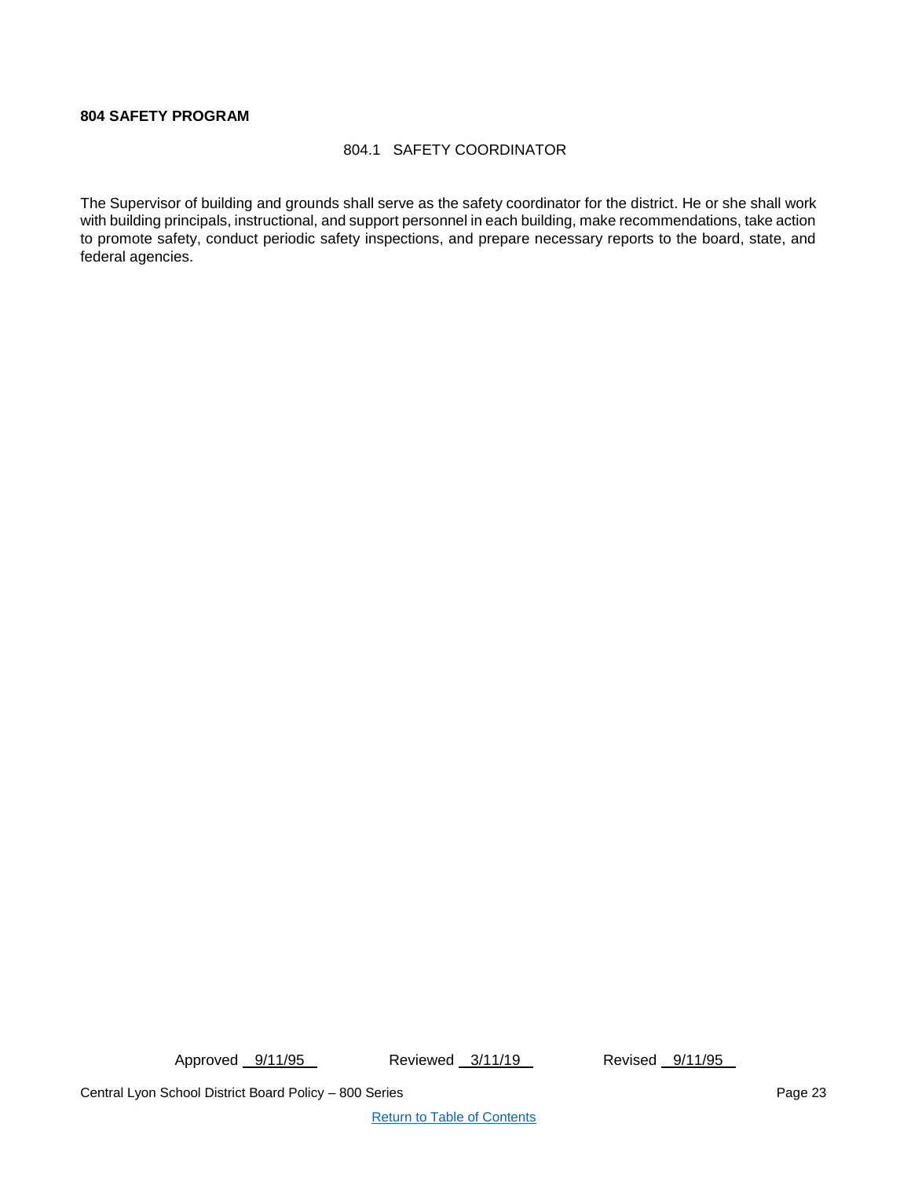# <span id="page-22-1"></span><span id="page-22-0"></span>**804 SAFETY PROGRAM**

# 804.1 SAFETY COORDINATOR

The Supervisor of building and grounds shall serve as the safety coordinator for the district. He or she shall work with building principals, instructional, and support personnel in each building, make recommendations, take action to promote safety, conduct periodic safety inspections, and prepare necessary reports to the board, state, and federal agencies.

Approved 9/11/95 Reviewed 3/11/19 Revised 9/11/95

Central Lyon School District Board Policy – 800 Series Page 23 Page 23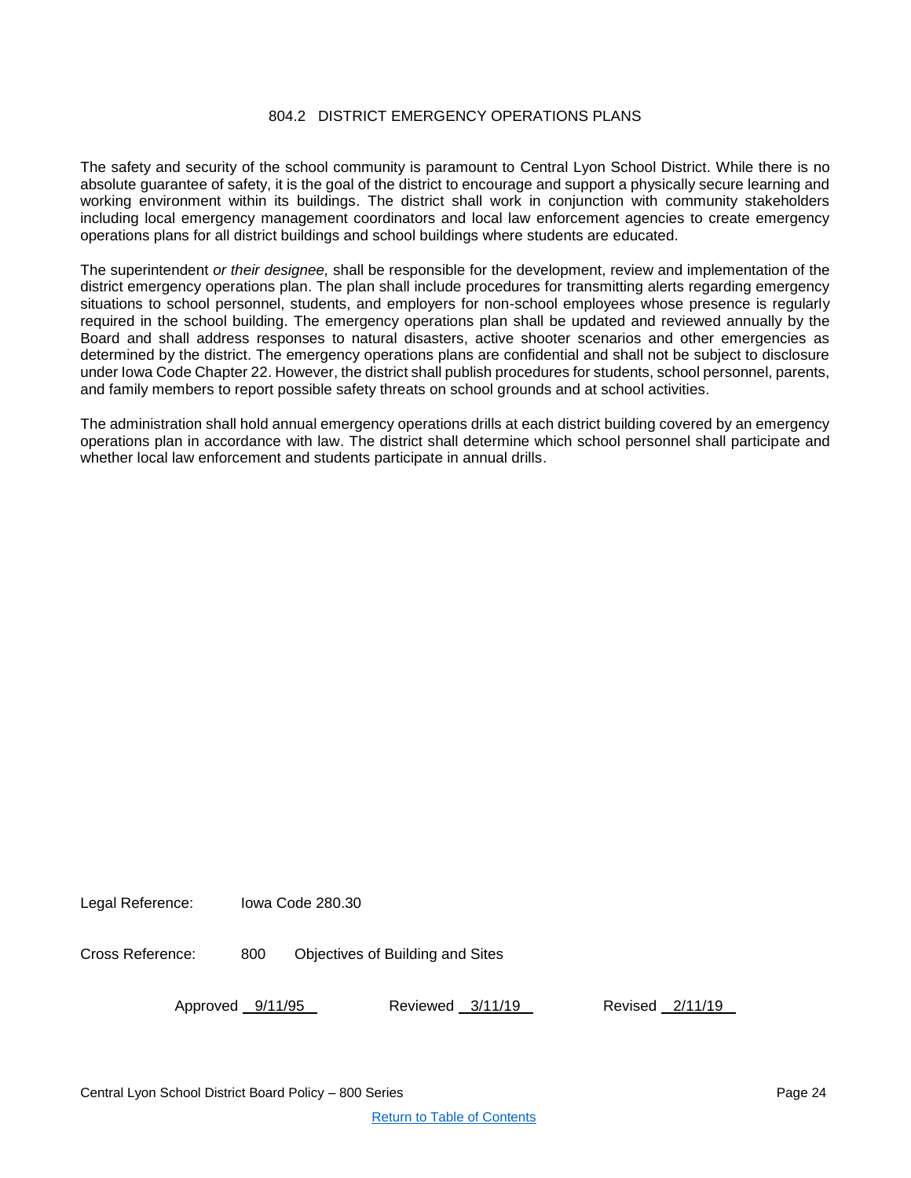# 804.2 DISTRICT EMERGENCY OPERATIONS PLANS

<span id="page-23-0"></span>The safety and security of the school community is paramount to Central Lyon School District. While there is no absolute guarantee of safety, it is the goal of the district to encourage and support a physically secure learning and working environment within its buildings. The district shall work in conjunction with community stakeholders including local emergency management coordinators and local law enforcement agencies to create emergency operations plans for all district buildings and school buildings where students are educated.

The superintendent *or their designee,* shall be responsible for the development, review and implementation of the district emergency operations plan. The plan shall include procedures for transmitting alerts regarding emergency situations to school personnel, students, and employers for non-school employees whose presence is regularly required in the school building. The emergency operations plan shall be updated and reviewed annually by the Board and shall address responses to natural disasters, active shooter scenarios and other emergencies as determined by the district. The emergency operations plans are confidential and shall not be subject to disclosure under Iowa Code Chapter 22. However, the district shall publish procedures for students, school personnel, parents, and family members to report possible safety threats on school grounds and at school activities.

The administration shall hold annual emergency operations drills at each district building covered by an emergency operations plan in accordance with law. The district shall determine which school personnel shall participate and whether local law enforcement and students participate in annual drills.

Legal Reference: Iowa Code 280.30

Cross Reference: 800 Objectives of Building and Sites

Approved 9/11/95 Reviewed 3/11/19 Revised 2/11/19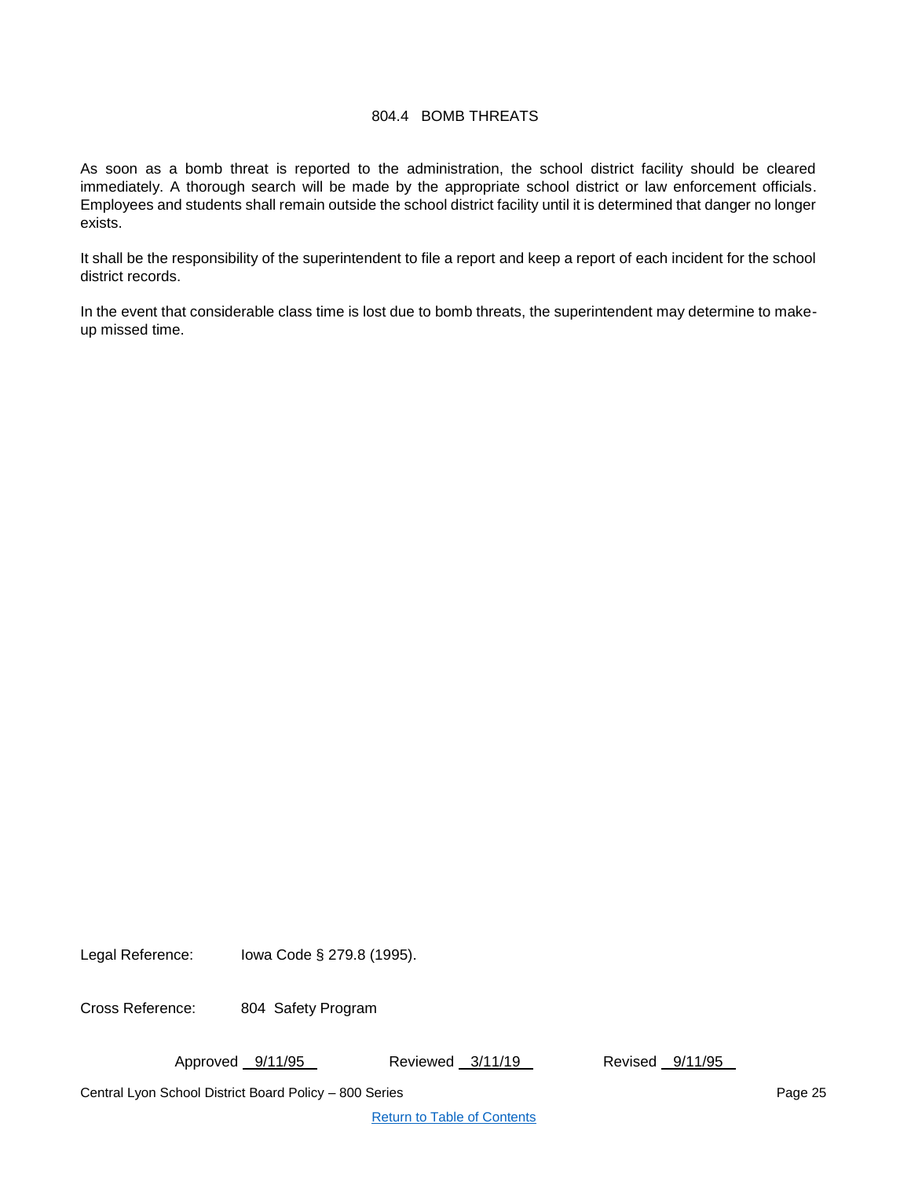## 804.4 BOMB THREATS

<span id="page-24-0"></span>As soon as a bomb threat is reported to the administration, the school district facility should be cleared immediately. A thorough search will be made by the appropriate school district or law enforcement officials. Employees and students shall remain outside the school district facility until it is determined that danger no longer exists.

It shall be the responsibility of the superintendent to file a report and keep a report of each incident for the school district records.

In the event that considerable class time is lost due to bomb threats, the superintendent may determine to makeup missed time.

Legal Reference: Iowa Code § 279.8 (1995).

Cross Reference: 804 Safety Program

Approved 9/11/95 Reviewed 3/11/19 Revised 9/11/95

Central Lyon School District Board Policy – 800 Series Page 25 Page 25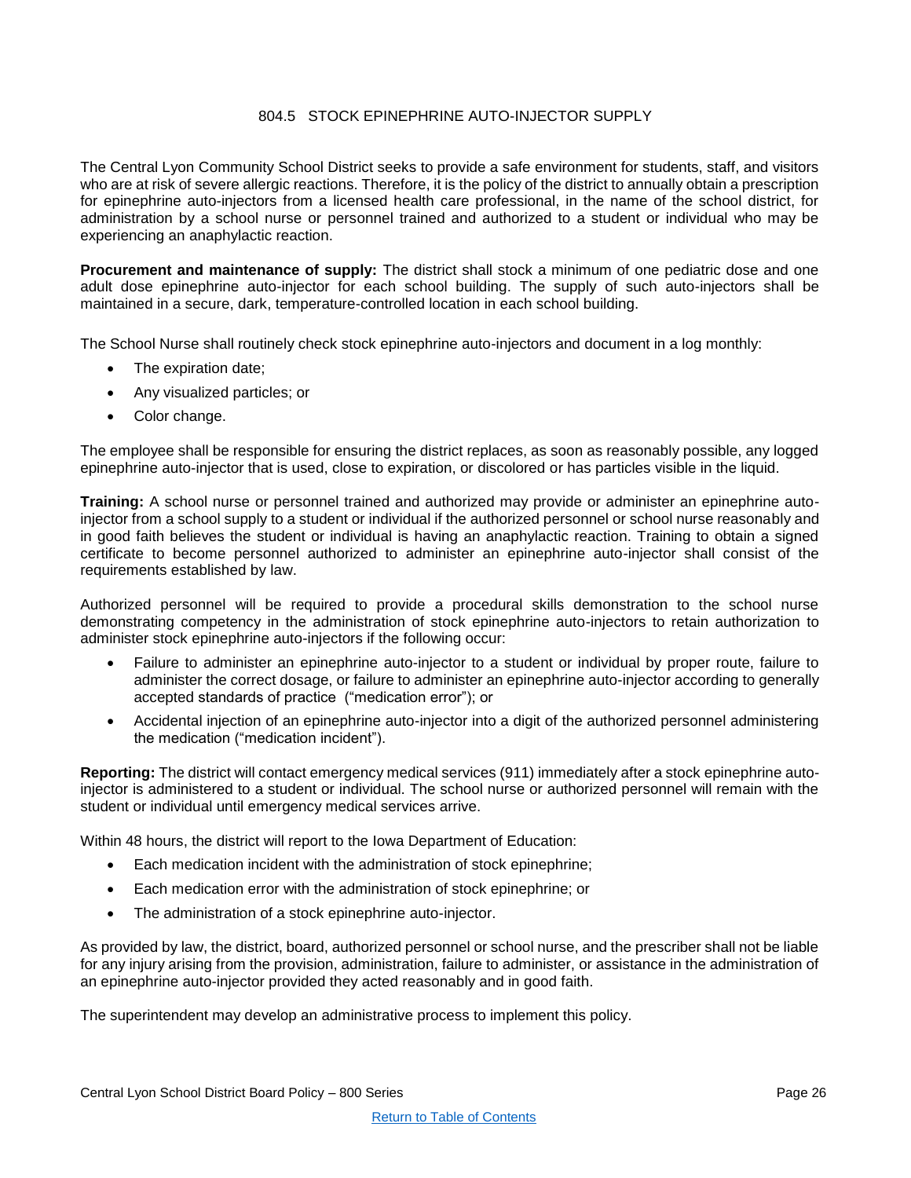# 804.5 STOCK EPINEPHRINE AUTO-INJECTOR SUPPLY

<span id="page-25-0"></span>The Central Lyon Community School District seeks to provide a safe environment for students, staff, and visitors who are at risk of severe allergic reactions. Therefore, it is the policy of the district to annually obtain a prescription for epinephrine auto-injectors from a licensed health care professional, in the name of the school district, for administration by a school nurse or personnel trained and authorized to a student or individual who may be experiencing an anaphylactic reaction.

**Procurement and maintenance of supply:** The district shall stock a minimum of one pediatric dose and one adult dose epinephrine auto-injector for each school building. The supply of such auto-injectors shall be maintained in a secure, dark, temperature-controlled location in each school building.

The School Nurse shall routinely check stock epinephrine auto-injectors and document in a log monthly:

- The expiration date;
- Any visualized particles; or
- Color change.

The employee shall be responsible for ensuring the district replaces, as soon as reasonably possible, any logged epinephrine auto-injector that is used, close to expiration, or discolored or has particles visible in the liquid.

**Training:** A school nurse or personnel trained and authorized may provide or administer an epinephrine autoinjector from a school supply to a student or individual if the authorized personnel or school nurse reasonably and in good faith believes the student or individual is having an anaphylactic reaction. Training to obtain a signed certificate to become personnel authorized to administer an epinephrine auto-injector shall consist of the requirements established by law.

Authorized personnel will be required to provide a procedural skills demonstration to the school nurse demonstrating competency in the administration of stock epinephrine auto-injectors to retain authorization to administer stock epinephrine auto-injectors if the following occur:

- Failure to administer an epinephrine auto-injector to a student or individual by proper route, failure to administer the correct dosage, or failure to administer an epinephrine auto-injector according to generally accepted standards of practice ("medication error"); or
- Accidental injection of an epinephrine auto-injector into a digit of the authorized personnel administering the medication ("medication incident").

**Reporting:** The district will contact emergency medical services (911) immediately after a stock epinephrine autoinjector is administered to a student or individual. The school nurse or authorized personnel will remain with the student or individual until emergency medical services arrive.

Within 48 hours, the district will report to the Iowa Department of Education:

- Each medication incident with the administration of stock epinephrine;
- Each medication error with the administration of stock epinephrine; or
- The administration of a stock epinephrine auto-injector.

As provided by law, the district, board, authorized personnel or school nurse, and the prescriber shall not be liable for any injury arising from the provision, administration, failure to administer, or assistance in the administration of an epinephrine auto-injector provided they acted reasonably and in good faith.

The superintendent may develop an administrative process to implement this policy.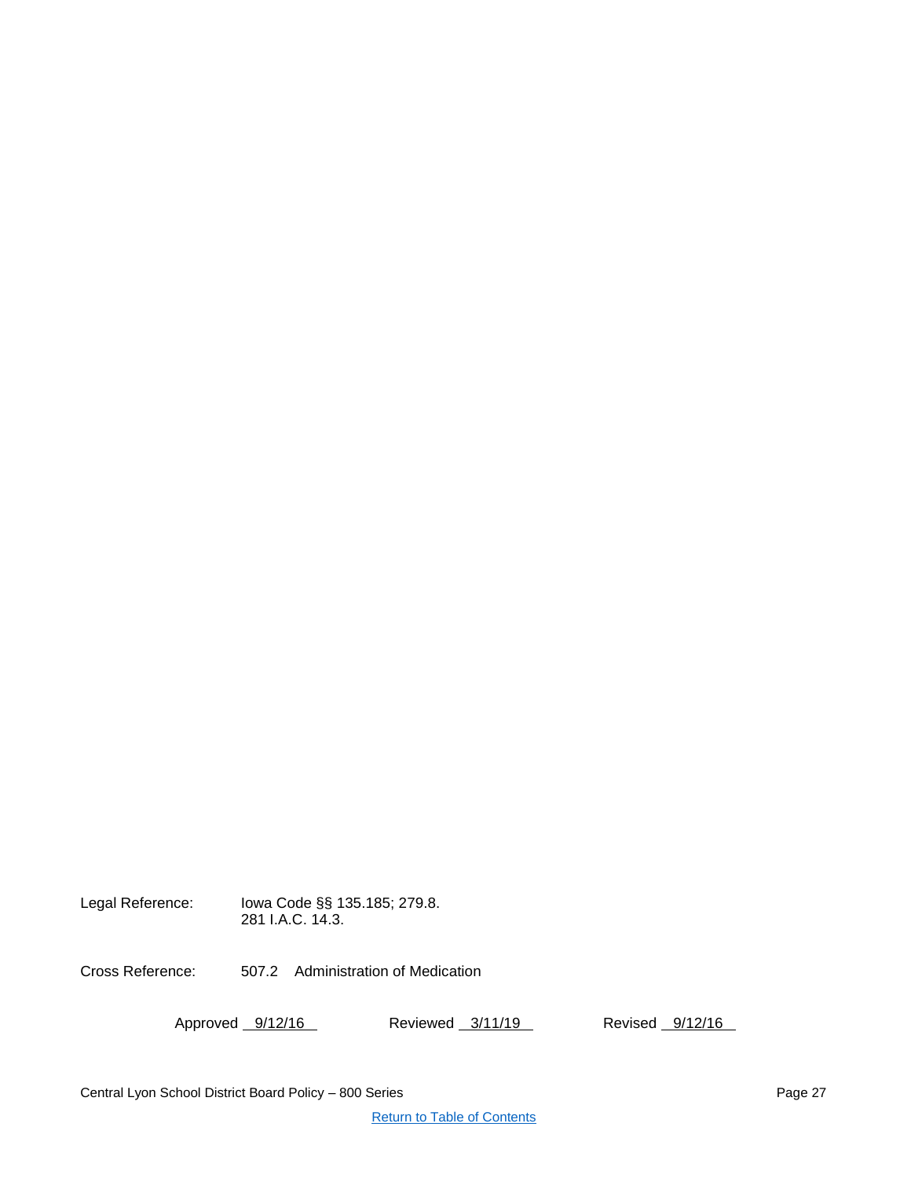Legal Reference: Iowa Code §§ 135.185; 279.8. 281 I.A.C. 14.3. Cross Reference: 507.2 Administration of Medication Approved 9/12/16 Reviewed 3/11/19 Revised 9/12/16

Central Lyon School District Board Policy – 800 Series Page 27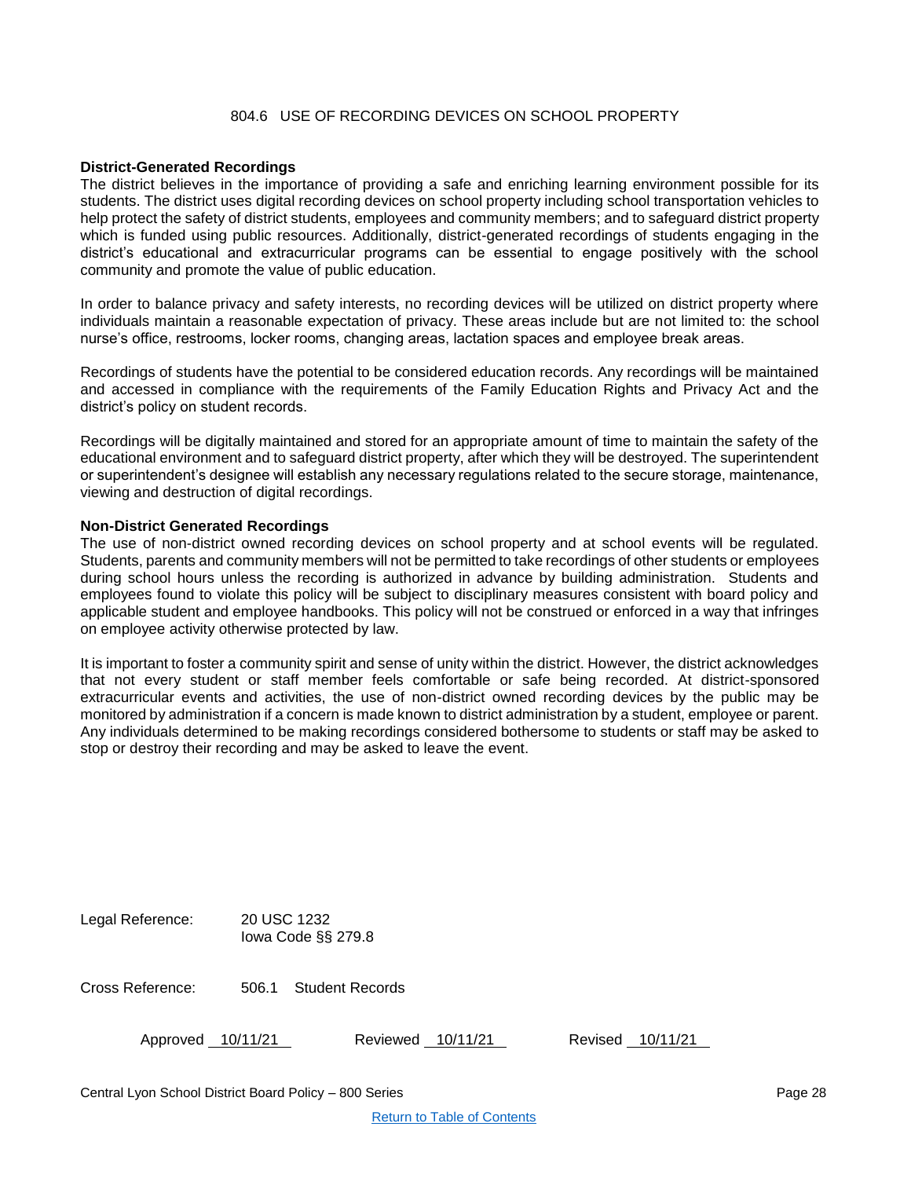# 804.6 USE OF RECORDING DEVICES ON SCHOOL PROPERTY

#### <span id="page-27-0"></span>**District-Generated Recordings**

The district believes in the importance of providing a safe and enriching learning environment possible for its students. The district uses digital recording devices on school property including school transportation vehicles to help protect the safety of district students, employees and community members; and to safeguard district property which is funded using public resources. Additionally, district-generated recordings of students engaging in the district's educational and extracurricular programs can be essential to engage positively with the school community and promote the value of public education.

In order to balance privacy and safety interests, no recording devices will be utilized on district property where individuals maintain a reasonable expectation of privacy. These areas include but are not limited to: the school nurse's office, restrooms, locker rooms, changing areas, lactation spaces and employee break areas.

Recordings of students have the potential to be considered education records. Any recordings will be maintained and accessed in compliance with the requirements of the Family Education Rights and Privacy Act and the district's policy on student records.

Recordings will be digitally maintained and stored for an appropriate amount of time to maintain the safety of the educational environment and to safeguard district property, after which they will be destroyed. The superintendent or superintendent's designee will establish any necessary regulations related to the secure storage, maintenance, viewing and destruction of digital recordings.

#### **Non-District Generated Recordings**

The use of non-district owned recording devices on school property and at school events will be regulated. Students, parents and community members will not be permitted to take recordings of other students or employees during school hours unless the recording is authorized in advance by building administration. Students and employees found to violate this policy will be subject to disciplinary measures consistent with board policy and applicable student and employee handbooks. This policy will not be construed or enforced in a way that infringes on employee activity otherwise protected by law.

It is important to foster a community spirit and sense of unity within the district. However, the district acknowledges that not every student or staff member feels comfortable or safe being recorded. At district-sponsored extracurricular events and activities, the use of non-district owned recording devices by the public may be monitored by administration if a concern is made known to district administration by a student, employee or parent. Any individuals determined to be making recordings considered bothersome to students or staff may be asked to stop or destroy their recording and may be asked to leave the event.

| Legal Reference: | 20 USC 1232<br>lowa Code $\S$ § 279.8 |
|------------------|---------------------------------------|
|                  |                                       |

Cross Reference: 506.1 Student Records

| Approved | 10/11/21 |
|----------|----------|
|          |          |

Approved 10/11/21 Reviewed 10/11/21 Revised 10/11/21

Central Lyon School District Board Policy – 800 Series Page 28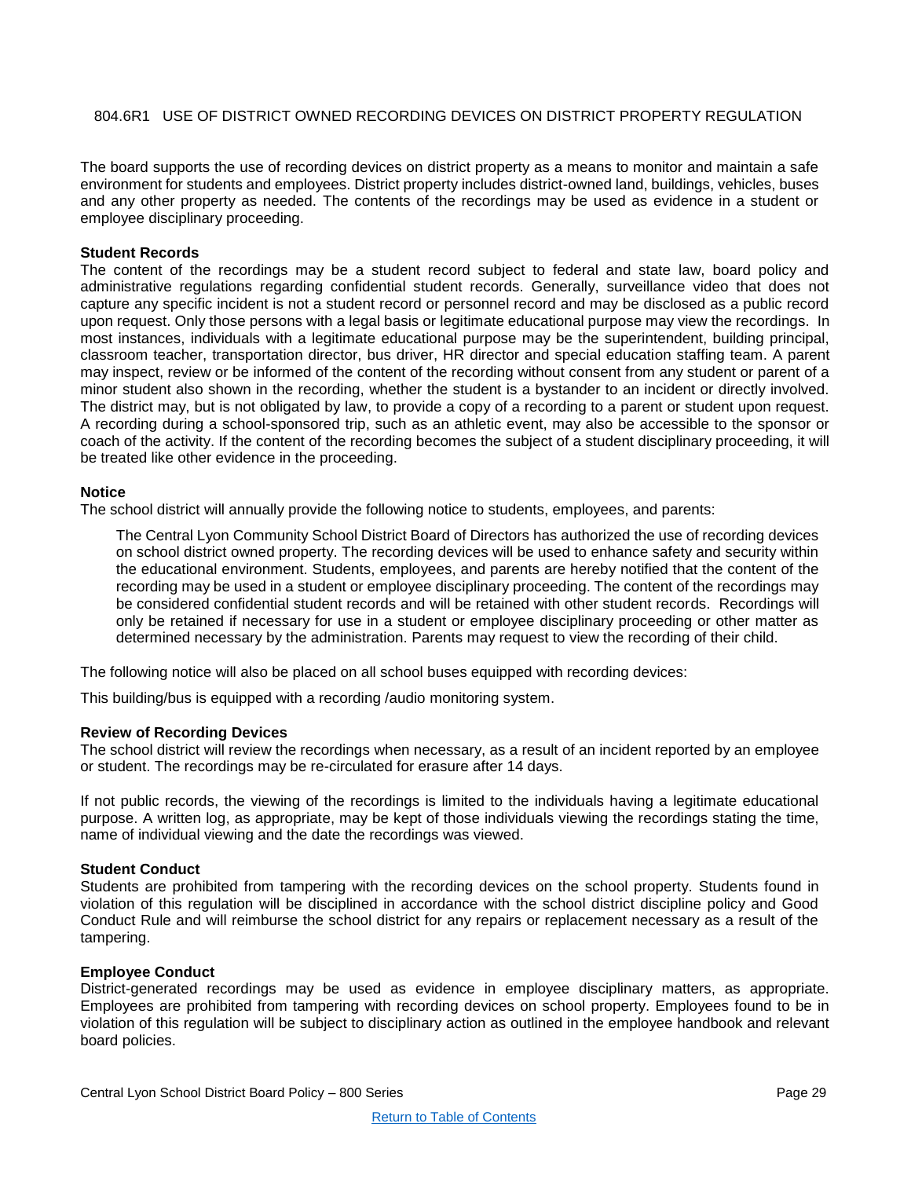# <span id="page-28-0"></span>804.6R1 USE OF DISTRICT OWNED RECORDING DEVICES ON DISTRICT PROPERTY REGULATION

The board supports the use of recording devices on district property as a means to monitor and maintain a safe environment for students and employees. District property includes district-owned land, buildings, vehicles, buses and any other property as needed. The contents of the recordings may be used as evidence in a student or employee disciplinary proceeding.

#### **Student Records**

The content of the recordings may be a student record subject to federal and state law, board policy and administrative regulations regarding confidential student records. Generally, surveillance video that does not capture any specific incident is not a student record or personnel record and may be disclosed as a public record upon request. Only those persons with a legal basis or legitimate educational purpose may view the recordings. In most instances, individuals with a legitimate educational purpose may be the superintendent, building principal, classroom teacher, transportation director, bus driver, HR director and special education staffing team. A parent may inspect, review or be informed of the content of the recording without consent from any student or parent of a minor student also shown in the recording, whether the student is a bystander to an incident or directly involved. The district may, but is not obligated by law, to provide a copy of a recording to a parent or student upon request. A recording during a school-sponsored trip, such as an athletic event, may also be accessible to the sponsor or coach of the activity. If the content of the recording becomes the subject of a student disciplinary proceeding, it will be treated like other evidence in the proceeding.

#### **Notice**

The school district will annually provide the following notice to students, employees, and parents:

The Central Lyon Community School District Board of Directors has authorized the use of recording devices on school district owned property. The recording devices will be used to enhance safety and security within the educational environment. Students, employees, and parents are hereby notified that the content of the recording may be used in a student or employee disciplinary proceeding. The content of the recordings may be considered confidential student records and will be retained with other student records. Recordings will only be retained if necessary for use in a student or employee disciplinary proceeding or other matter as determined necessary by the administration. Parents may request to view the recording of their child.

The following notice will also be placed on all school buses equipped with recording devices:

This building/bus is equipped with a recording /audio monitoring system.

#### **Review of Recording Devices**

The school district will review the recordings when necessary, as a result of an incident reported by an employee or student. The recordings may be re-circulated for erasure after 14 days.

If not public records, the viewing of the recordings is limited to the individuals having a legitimate educational purpose. A written log, as appropriate, may be kept of those individuals viewing the recordings stating the time, name of individual viewing and the date the recordings was viewed.

#### **Student Conduct**

Students are prohibited from tampering with the recording devices on the school property. Students found in violation of this regulation will be disciplined in accordance with the school district discipline policy and Good Conduct Rule and will reimburse the school district for any repairs or replacement necessary as a result of the tampering.

#### **Employee Conduct**

District-generated recordings may be used as evidence in employee disciplinary matters, as appropriate. Employees are prohibited from tampering with recording devices on school property. Employees found to be in violation of this regulation will be subject to disciplinary action as outlined in the employee handbook and relevant board policies.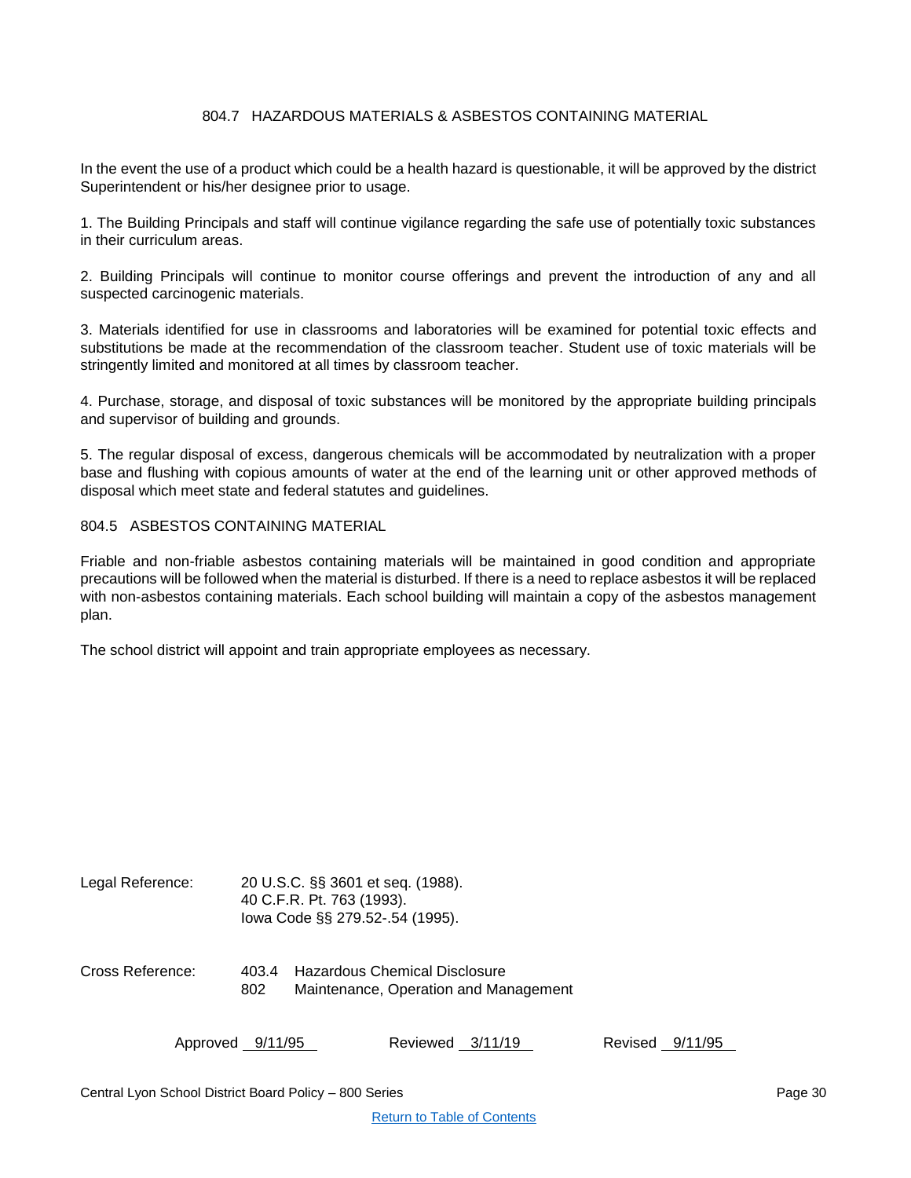# 804.7 HAZARDOUS MATERIALS & ASBESTOS CONTAINING MATERIAL

<span id="page-29-0"></span>In the event the use of a product which could be a health hazard is questionable, it will be approved by the district Superintendent or his/her designee prior to usage.

1. The Building Principals and staff will continue vigilance regarding the safe use of potentially toxic substances in their curriculum areas.

2. Building Principals will continue to monitor course offerings and prevent the introduction of any and all suspected carcinogenic materials.

3. Materials identified for use in classrooms and laboratories will be examined for potential toxic effects and substitutions be made at the recommendation of the classroom teacher. Student use of toxic materials will be stringently limited and monitored at all times by classroom teacher.

4. Purchase, storage, and disposal of toxic substances will be monitored by the appropriate building principals and supervisor of building and grounds.

5. The regular disposal of excess, dangerous chemicals will be accommodated by neutralization with a proper base and flushing with copious amounts of water at the end of the learning unit or other approved methods of disposal which meet state and federal statutes and guidelines.

804.5 ASBESTOS CONTAINING MATERIAL

Friable and non-friable asbestos containing materials will be maintained in good condition and appropriate precautions will be followed when the material is disturbed. If there is a need to replace asbestos it will be replaced with non-asbestos containing materials. Each school building will maintain a copy of the asbestos management plan.

The school district will appoint and train appropriate employees as necessary.

| Legal Reference: |              | 20 U.S.C. §§ 3601 et seq. (1988).<br>40 C.F.R. Pt. 763 (1993).<br>lowa Code §§ 279.52-.54 (1995). |
|------------------|--------------|---------------------------------------------------------------------------------------------------|
| Cross Reference: | 403.4<br>802 | Hazardous Chemical Disclosure<br>Maintenance, Operation and Management                            |

| Approved 9/11/95 | Reviewed 3/11/19 | Revised 9/11/95 |  |
|------------------|------------------|-----------------|--|
|                  |                  |                 |  |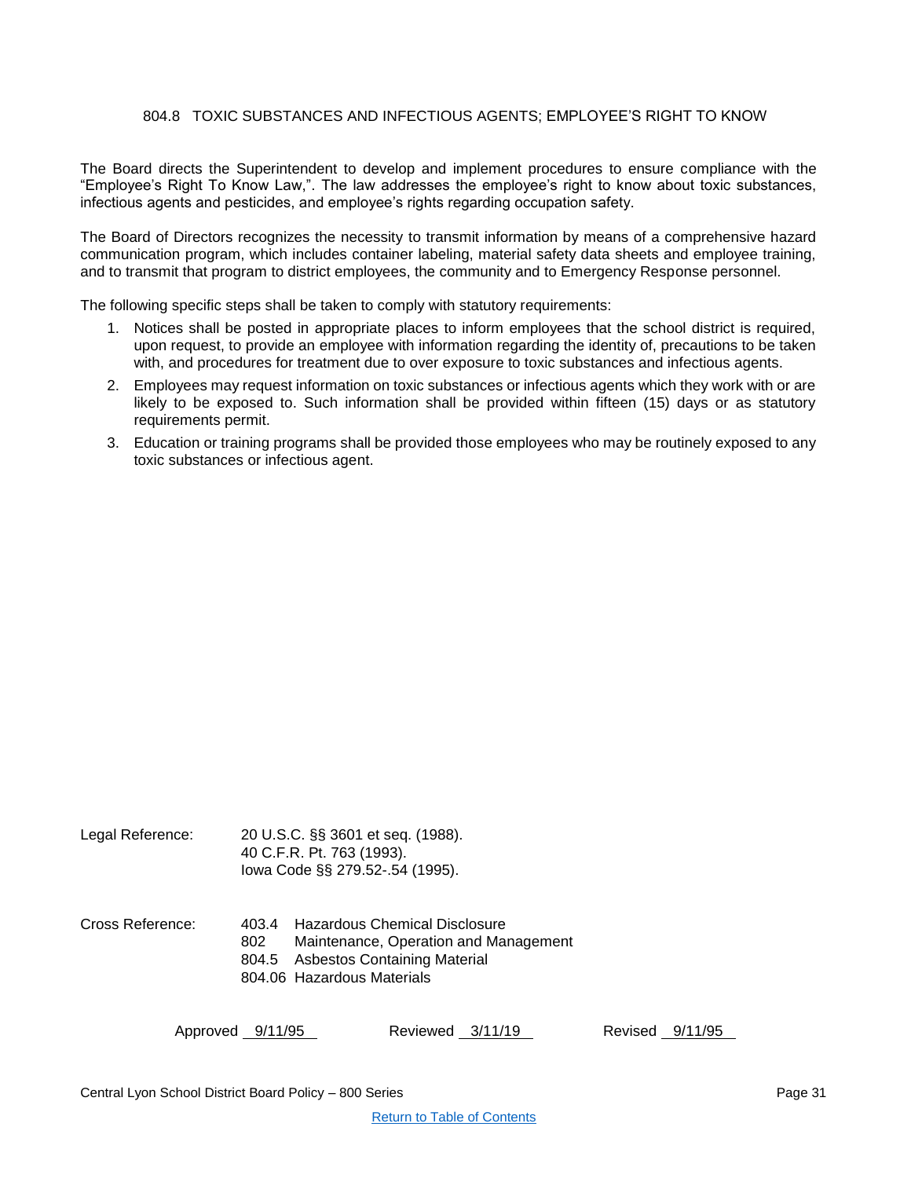# 804.8 TOXIC SUBSTANCES AND INFECTIOUS AGENTS; EMPLOYEE'S RIGHT TO KNOW

<span id="page-30-0"></span>The Board directs the Superintendent to develop and implement procedures to ensure compliance with the "Employee's Right To Know Law,". The law addresses the employee's right to know about toxic substances, infectious agents and pesticides, and employee's rights regarding occupation safety.

The Board of Directors recognizes the necessity to transmit information by means of a comprehensive hazard communication program, which includes container labeling, material safety data sheets and employee training, and to transmit that program to district employees, the community and to Emergency Response personnel.

The following specific steps shall be taken to comply with statutory requirements:

- 1. Notices shall be posted in appropriate places to inform employees that the school district is required, upon request, to provide an employee with information regarding the identity of, precautions to be taken with, and procedures for treatment due to over exposure to toxic substances and infectious agents.
- 2. Employees may request information on toxic substances or infectious agents which they work with or are likely to be exposed to. Such information shall be provided within fifteen (15) days or as statutory requirements permit.
- 3. Education or training programs shall be provided those employees who may be routinely exposed to any toxic substances or infectious agent.

| Legal Reference: | 20 U.S.C. §§ 3601 et seq. (1988).<br>40 C.F.R. Pt. 763 (1993).<br>lowa Code §§ 279.52-.54 (1995).                                                            |  |
|------------------|--------------------------------------------------------------------------------------------------------------------------------------------------------------|--|
| Cross Reference: | - Hazardous Chemical Disclosure<br>403.4<br>Maintenance, Operation and Management<br>802<br>804.5 Asbestos Containing Material<br>804.06 Hazardous Materials |  |

Approved 9/11/95 Reviewed 3/11/19 Revised 9/11/95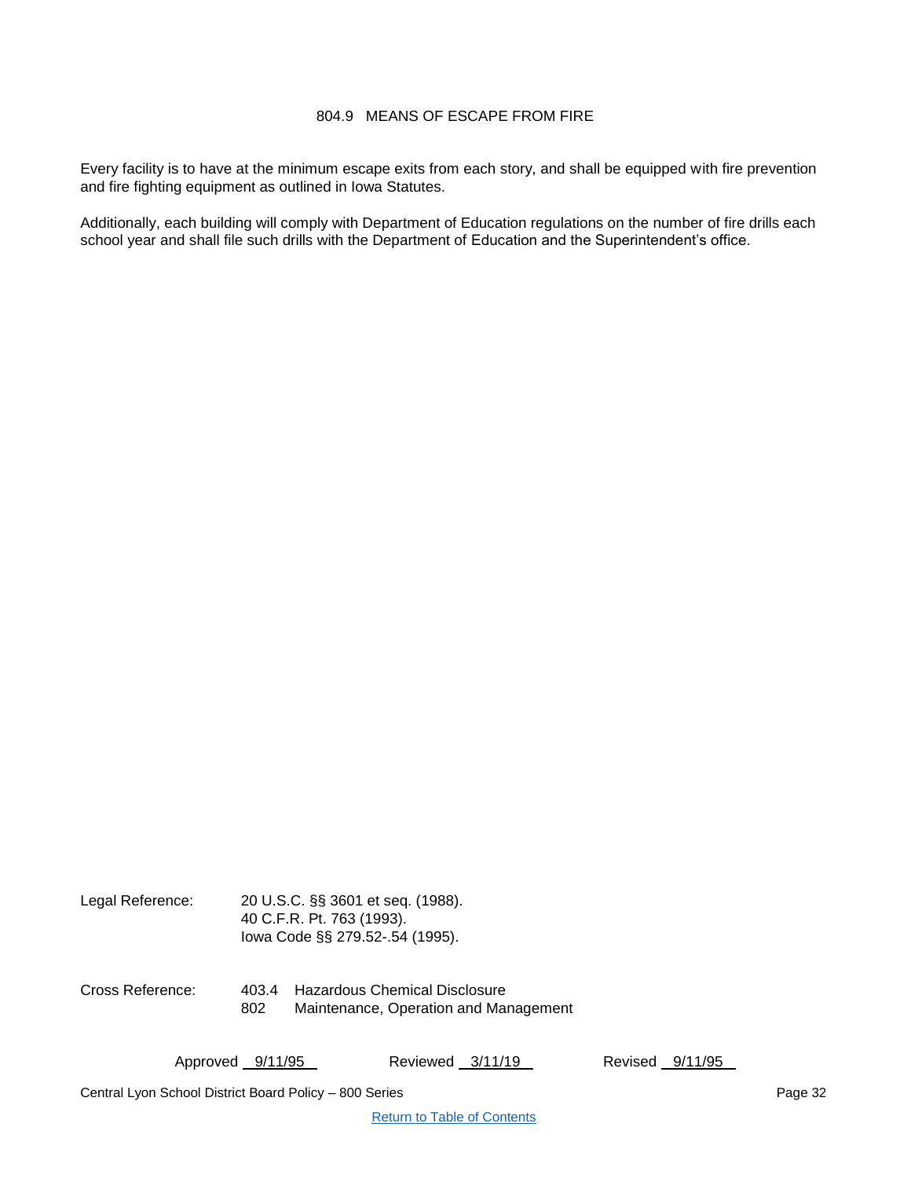# 804.9 MEANS OF ESCAPE FROM FIRE

<span id="page-31-0"></span>Every facility is to have at the minimum escape exits from each story, and shall be equipped with fire prevention and fire fighting equipment as outlined in Iowa Statutes.

Additionally, each building will comply with Department of Education regulations on the number of fire drills each school year and shall file such drills with the Department of Education and the Superintendent's office.

| Legal Reference: |              | 20 U.S.C. §§ 3601 et seq. (1988).<br>40 C.F.R. Pt. 763 (1993).<br>lowa Code §§ 279.52-.54 (1995). |
|------------------|--------------|---------------------------------------------------------------------------------------------------|
| Cross Reference: | 403.4<br>802 | <b>Hazardous Chemical Disclosure</b><br>Maintenance, Operation and Management                     |

Approved 9/11/95 Reviewed 3/11/19 Revised 9/11/95

Central Lyon School District Board Policy – 800 Series Page 32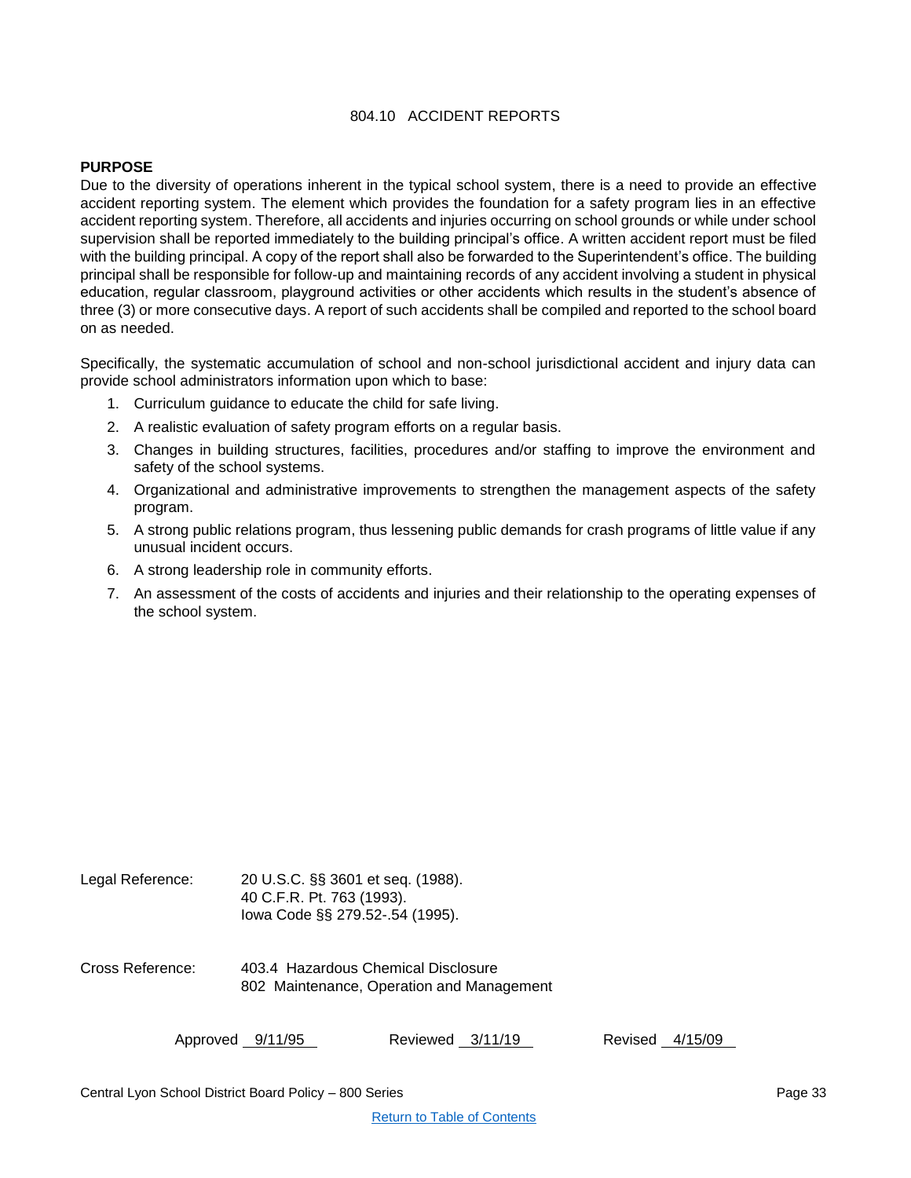# 804.10 ACCIDENT REPORTS

# <span id="page-32-0"></span>**PURPOSE**

Due to the diversity of operations inherent in the typical school system, there is a need to provide an effective accident reporting system. The element which provides the foundation for a safety program lies in an effective accident reporting system. Therefore, all accidents and injuries occurring on school grounds or while under school supervision shall be reported immediately to the building principal's office. A written accident report must be filed with the building principal. A copy of the report shall also be forwarded to the Superintendent's office. The building principal shall be responsible for follow-up and maintaining records of any accident involving a student in physical education, regular classroom, playground activities or other accidents which results in the student's absence of three (3) or more consecutive days. A report of such accidents shall be compiled and reported to the school board on as needed.

Specifically, the systematic accumulation of school and non-school jurisdictional accident and injury data can provide school administrators information upon which to base:

- 1. Curriculum guidance to educate the child for safe living.
- 2. A realistic evaluation of safety program efforts on a regular basis.
- 3. Changes in building structures, facilities, procedures and/or staffing to improve the environment and safety of the school systems.
- 4. Organizational and administrative improvements to strengthen the management aspects of the safety program.
- 5. A strong public relations program, thus lessening public demands for crash programs of little value if any unusual incident occurs.
- 6. A strong leadership role in community efforts.
- 7. An assessment of the costs of accidents and injuries and their relationship to the operating expenses of the school system.

| Legal Reference: | 20 U.S.C. §§ 3601 et seq. (1988).<br>40 C.F.R. Pt. 763 (1993).<br>lowa Code §§ 279.52-.54 (1995). |
|------------------|---------------------------------------------------------------------------------------------------|
| Cross Reference: | 403.4 Hazardous Chemical Disclosure<br>802 Maintenance, Operation and Management                  |

| Approved 9/11/95 | Reviewed 3/11/19 | Revised 4/15/09 |
|------------------|------------------|-----------------|
|------------------|------------------|-----------------|